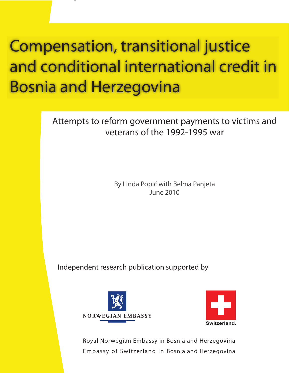# **Compensation, transitional justice** and conditional international credit in **Bosnia and Herzegovina**

Attempts to reform government payments to victims and veterans of the 1992-1995 war

> By Linda Popić with Belma Panjeta June 2010

Independent research publication supported by





Royal Norwegian Embassy in Bosnia and Herzegovina Embassy of Switzerland in Bosnia and Herzegovina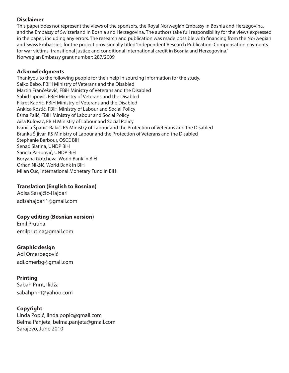#### **Disclaimer**

This paper does not represent the views of the sponsors, the Royal Norwegian Embassy in Bosnia and Herzegovina, and the Embassy of Switzerland in Bosnia and Herzegovina. The authors take full responsibility for the views expressed in the paper, including any errors. The research and publication was made possible with financing from the Norwegian and Swiss Embassies, for the project provisionally titled 'Independent Research Publication: Compensation payments for war victims, transitional justice and conditional international credit in Bosnia and Herzegovina.' Norwegian Embassy grant number: 287/2009

#### **Acknowledgments**

Thankyou to the following people for their help in sourcing information for the study. Salko Bebo, FBiH Ministry of Veterans and the Disabled Martin Frančešević, FBiH Ministry of Veterans and the Disabled Sabid Lipović, FBiH Ministry of Veterans and the Disabled Fikret Kadrić, FBiH Ministry of Veterans and the Disabled Ankica Kostić, FBiH Ministry of Labour and Social Policy Esma Palić, FBiH Ministry of Labour and Social Policy Aiša Kulovac, FBiH Ministry of Labour and Social Policy Ivanica Španić-Rakić, RS Ministry of Labour and the Protection of Veterans and the Disabled Branka Šljivar, RS Ministry of Labour and the Protection of Veterans and the Disabled Stephanie Barbour, OSCE BiH Senad Slatina, UNDP BiH Sanela Paripović, UNDP BiH Boryana Gotcheva, World Bank in BiH Orhan Nikšić, World Bank in BiH Milan Cuc, International Monetary Fund in BiH

#### **Translation (English to Bosnian)**

Adisa Sarajčić-Hajdari adisahajdari1@gmail.com

#### **Copy editing (Bosnian version)**

Emil Prutina emilprutina@gmail.com

#### **Graphic design**

Adi Omerbegović adi.omerbg@gmail.com

#### **Printing**

Sabah Print, Ilidža sabahprint@yahoo.com

#### **Copyright**

Linda Popić, linda.popic@gmail.com Belma Panjeta, belma.panjeta@gmail.com Sarajevo, June 2010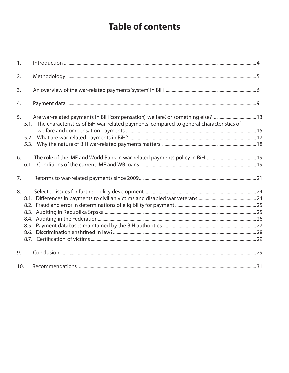# **Table of contents**

| 1.  |                                                                                                                                                                                         |  |
|-----|-----------------------------------------------------------------------------------------------------------------------------------------------------------------------------------------|--|
| 2.  |                                                                                                                                                                                         |  |
| 3.  |                                                                                                                                                                                         |  |
| 4.  |                                                                                                                                                                                         |  |
| 5.  | Are war-related payments in BiH'compensation', 'welfare', or something else? 13<br>5.1. The characteristics of BiH war-related payments, compared to general characteristics of<br>5.2. |  |
| 6.  |                                                                                                                                                                                         |  |
| 7.  |                                                                                                                                                                                         |  |
| 8.  |                                                                                                                                                                                         |  |
|     |                                                                                                                                                                                         |  |
|     |                                                                                                                                                                                         |  |
|     |                                                                                                                                                                                         |  |
| 9.  |                                                                                                                                                                                         |  |
| 10. |                                                                                                                                                                                         |  |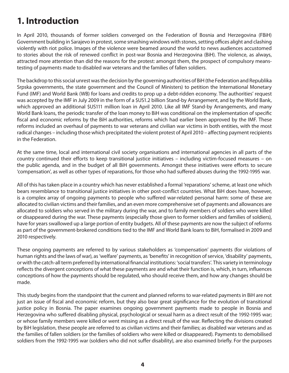## **1. Introduction**

In April 2010, thousands of former soldiers converged on the Federation of Bosnia and Herzegovina (FBiH) Government building in Sarajevo in protest, some smashing windows with stones, setting offices alight and clashing violently with riot police. Images of the violence were beamed around the world to news audiences accustomed to stories about the risk of renewed conflict in post-war Bosnia and Herzegovina (BiH). The violence, as always, attracted more attention than did the reasons for the protest: amongst them, the prospect of compulsory meanstesting of payments made to disabled war veterans and the families of fallen soldiers.

The backdrop to this social unrest was the decision by the governing authorities of BiH (the Federation and Republika Srpska governments, the state government and the Council of Ministers) to petition the International Monetary Fund (IMF) and World Bank (WB) for loans and credits to prop up a debt-ridden economy. The authorities' request was accepted by the IMF in July 2009 in the form of a \$US1.2 billion Stand-by Arrangement, and by the World Bank, which approved an additional \$US111 million loan in April 2010. Like all IMF Stand-by Arrangements, and many World Bank loans, the periodic transfer of the loan money to BiH was conditional on the implementation of specific fiscal and economic reforms by the BiH authorities, reforms which had earlier been approved by the IMF. These reforms included an overhaul of payments to war veterans and civilian war victims in both entities, with the most radical changes – including those which precipitated the violent protest of April 2010 – affecting payment recipients in the Federation.

At the same time, local and international civil society organisations and international agencies in all parts of the country continued their efforts to keep transitional justice initiatives – including victim-focused measures – on the public agenda, and in the budget of all BiH governments. Amongst these initiatives were efforts to secure 'compensation', as well as other types of reparations, for those who had suffered abuses during the 1992-1995 war.

All of this has taken place in a country which has never established a formal 'reparations' scheme, at least one which bears resemblance to transitional justice initiatives in other post-conflict countries. What BiH does have, however, is a complex array of ongoing payments to people who suffered war-related personal harm: some of these are allocated to civilian victims and their families, and an even more comprehensive set of payments and allowances are allocated to soldiers who served in the military during the war, and to family members of soldiers who were killed or disappeared during the war. These payments (especially those given to former soldiers and families of soldiers), have for years swallowed up a large portion of entity budgets. All of these payments are now the subject of reforms as part of the government-brokered conditions tied to the IMF and World Bank loans to BiH, formalised in 2009 and 2010 respectively.

These ongoing payments are referred to by various stakeholders as 'compensation' payments (for violations of human rights and the laws of war), as 'welfare' payments, as 'benefits' in recognition of service, 'disability' payments, or with the catch-all term preferred by international financial institutions: 'social transfers'. This variety in terminology reflects the divergent conceptions of what these payments are and what their function is, which, in turn, influences conceptions of how the payments should be regulated, who should receive them, and how any changes should be made.

This study begins from the standpoint that the current and planned reforms to war-related payments in BiH are not just an issue of fiscal and economic reform, but they also bear great significance for the evolution of transitional justice policy in Bosnia. The paper examines ongoing government payments made to people in Bosnia and Herzegovina who suffered disabling physical, psychological or sexual harm as a direct result of the 1992-1995 war; or whose family members were killed or went missing as a direct result of the war. Reflecting the divisions created by BiH legislation, these people are referred to as civilian victims and their families; as disabled war veterans and as the families of fallen soldiers (or the families of soldiers who were killed or disappeared). Payments to demobilised soldiers from the 1992-1995 war (soldiers who did not suffer disability), are also examined briefly. For the purposes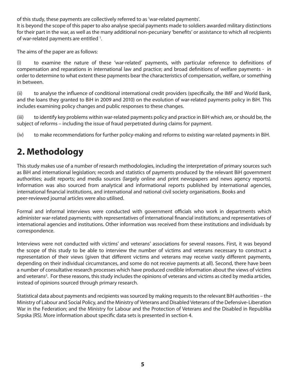of this study, these payments are collectively referred to as 'war-related payments'.

It is beyond the scope of this paper to also analyse special payments made to soldiers awarded military distinctions for their part in the war, as well as the many additional non-pecuniary 'benefits' or assistance to which all recipients of war-related payments are entitled 1.

The aims of the paper are as follows:

(i) to examine the nature of these 'war-related' payments, with particular reference to definitions of compensation and reparations in international law and practice; and broad definitions of welfare payments - in order to determine to what extent these payments bear the characteristics of compensation, welfare, or something in between.

(ii) to analyse the influence of conditional international credit providers (specifically, the IMF and World Bank, and the loans they granted to BiH in 2009 and 2010) on the evolution of war-related payments policy in BiH. This includes examining policy changes and public responses to these changes.

(iii) to identify key problems within war-related payments policy and practice in BiH which are, or should be, the subject of reforms – including the issue of fraud perpetrated during claims for payment.

(iv) to make recommendations for further policy-making and reforms to existing war-related payments in BiH.

# **2. Methodology**

This study makes use of a number of research methodologies, including the interpretation of primary sources such as BiH and international legislation; records and statistics of payments produced by the relevant BiH government authorities; audit reports; and media sources (largely online and print newspapers and news agency reports). Information was also sourced from analytical and informational reports published by international agencies, international financial institutions, and international and national civil society organisations. Books and peer-reviewed journal articles were also utilised.

Formal and informal interviews were conducted with government officials who work in departments which administer war-related payments; with representatives of international financial institutions; and representatives of international agencies and institutions. Other information was received from these institutions and individuals by correspondence.

Interviews were not conducted with victims' and veterans' associations for several reasons. First, it was beyond the scope of this study to be able to interview the number of victims and veterans necessary to construct a representation of their views (given that different victims and veterans may receive vastly different payments, depending on their individual circumstances, and some do not receive payments at all). Second, there have been a number of consultative research processes which have produced credible information about the views of victims and veterans<sup>2</sup>. For these reasons, this study includes the opinions of veterans and victims as cited by media articles, instead of opinions sourced through primary research.

Statistical data about payments and recipients was sourced by making requests to the relevant BiH authorities – the Ministry of Labour and Social Policy, and the Ministry of Veterans and Disabled Veterans of the Defensive-Liberation War in the Federation; and the Ministry for Labour and the Protection of Veterans and the Disabled in Republika Srpska (RS). More information about specific data sets is presented in section 4.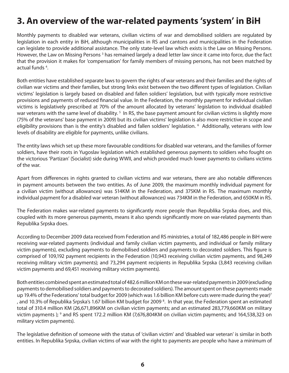# **3. An overview of the war-related payments 'system' in BiH**

Monthly payments to disabled war veterans, civilian victims of war and demobilised soldiers are regulated by legislation in each entity in BiH, although municipalities in RS and cantons and municipalities in the Federation can legislate to provide additional assistance. The only state-level law which exists is the Law on Missing Persons. However, the Law on Missing Persons<sup>3</sup> has remained largely a dead letter law since it came into force, due the fact that the provision it makes for 'compensation' for family members of missing persons, has not been matched by actual funds<sup>4</sup>.

Both entities have established separate laws to govern the rights of war veterans and their families and the rights of civilian war victims and their families, but strong links exist between the two different types of legislation. Civilian victims' legislation is largely based on disabled and fallen soldiers' legislation, but with typically more restrictive provisions and payments of reduced financial value. In the Federation, the monthly payment for individual civilian victims is legislatively prescribed at 70% of the amount allocated by veterans' legislation to individual disabled war veterans with the same level of disability.<sup>5</sup> In RS, the base payment amount for civilian victims is slightly more (75% of the veterans' base payment in 2009) but its civilian victims' legislation is also more restrictive in scope and eligibility provisions than is the entity's disabled and fallen soldiers' legislation. <sup>6</sup> Additionally, veterans with low levels of disability are eligible for payments, unlike civilians.

The entity laws which set up these more favourable conditions for disabled war veterans, and the families of former soldiers, have their roots in Yugoslav legislation which established generous payments to soldiers who fought on the victorious 'Partizan' (Socialist) side during WWII, and which provided much lower payments to civilians victims of the war.

Apart from differences in rights granted to civilian victims and war veterans, there are also notable differences in payment amounts between the two entities. As of June 2009, the maximum monthly individual payment for a civilian victim (without allowances) was 514KM in the Federation, and 375KM in RS. The maximum monthly individual payment for a disabled war veteran (without allowances) was 734KM in the Federation, and 650KM in RS.

The Federation makes war-related payments to significantly more people than Republika Srpska does, and this, coupled with its more generous payments, means it also spends significantly more on war-related payments than Republika Srpska does.

According to December 2009 data received from Federation and RS ministries, a total of 182,486 people in BiH were receiving war-related payments (individual and family civilian victim payments, and individual or family military victim payments), excluding payments to demobilised soldiers and payments to decorated soldiers. This figure is comprised of 109,192 payment recipients in the Federation (10,943 receiving civilian victim payments, and 98,249 receiving military victim payments); and 73,294 payment recipients in Republika Srpska (3,843 receiving civilian victim payments and 69,451 receiving military victim payments).

Both entities combined spent an estimated total of 482.6 million KM on these war-related payments in 2009 (excluding payments to demobilised soldiers and payments to decorated soldiers). The amount spent on these payments made up 19.4% of the Federations' total budget for 2009 (which was 1.6 billion KM before cuts were made during the year)<sup>7</sup> , and 10.3% of Republika Srpska's 1.67 billion KM budget for 2009<sup>8</sup>. In that year, the Federation spent an estimated total of 310.4 million KM (26,671,896KM on civilian victim payments; and an estimated 283,779,660KM on military victim payments ); 9 and RS spent 172.2 million KM (7,676,804KM on civilian victim payments; and 164,538,323 on military victim payments).

The legislative definition of someone with the status of 'civilian victim' and 'disabled war veteran' is similar in both entities. In Republika Srpska, civilian victims of war with the right to payments are people who have a minimum of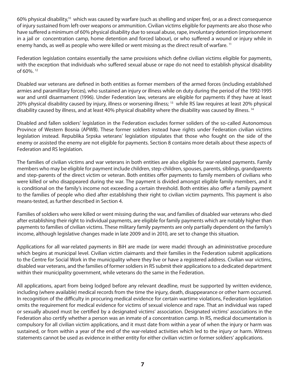60% physical disability,<sup>10</sup> which was caused by warfare (such as shelling and sniper fire), or as a direct consequence of injury sustained from left-over weapons or ammunition. Civilian victims eligible for payments are also those who have suffered a minimum of 60% physical disability due to sexual abuse, rape, involuntary detention (imprisonment in a jail or concentration camp, home detention and forced labour), or who suffered a wound or injury while in enemy hands, as well as people who were killed or went missing as the direct result of warfare.<sup>11</sup>

Federation legislation contains essentially the same provisions which define civilian victims eligible for payments, with the exception that individuals who suffered sexual abuse or rape do not need to establish physical disability of 60%. 12

Disabled war veterans are defined in both entities as former members of the armed forces (including established armies and paramilitary forces), who sustained an injury or illness while on duty during the period of the 1992-1995 war and until disarmament (1996). Under Federation law, veterans are eligible for payments if they have at least 20% physical disability caused by injury, illness or worsening illness; <sup>13</sup> while RS law requires at least 20% physical disability caused by illness, and at least 40% physical disability where the disability was caused by illness. <sup>14</sup>

Disabled and fallen soldiers' legislation in the Federation excludes former soliders of the so-called Autonomous Province of Western Bosnia (APWB). These former soldiers instead have rights under Federation civilian victims legislation instead. Republika Srpska veterans' legislation stipulates that those who fought on the side of the enemy or assisted the enemy are not eligible for payments. Section 8 contains more details about these aspects of Federation and RS legislation.

The families of civilian victims and war veterans in both entities are also eligible for war-related payments. Family members who may be eligible for payment include children, step-children, spouses, parents, siblings, grandparents and step-parents of the direct victim or veteran. Both entities offer payments to family members of civilians who were killed or who disappeared during the war. The payment is divided amongst eligible family members, and it is conditional on the family's income not exceeding a certain threshold. Both entities also offer a family payment to the families of people who died after establishing their right to civilian victim payments. This payment is also means-tested, as further described in Section 4.

Families of soldiers who were killed or went missing during the war, and families of disabled war veterans who died after establishing their right to individual payments, are eligible for family payments which are notably higher than payments to families of civilian victims. These military family payments are only partially dependent on the family's income, although legislative changes made in late 2009 and in 2010, are set to change this situation.

Applications for all war-related payments in BiH are made (or were made) through an administrative procedure which begins at municipal level. Civilian victim claimants and their families in the Federation submit applications to the Centre for Social Work in the municipality where they live or have a registered address. Civilian war victims, disabled war veterans, and the families of former soldiers in RS submit their applications to a dedicated department within their municipality government, while veterans do the same in the Federation.

All applications, apart from being lodged before any relevant deadline, must be supported by written evidence, including (where available) medical records from the time the injury, death, disappearance or other harm occurred. In recognition of the difficulty in procuring medical evidence for certain wartime violations, Federation legislation omits the requirement for medical evidence for victims of sexual violence and rape. That an individual was raped or sexually abused must be certified by a designated victims' association. Designated victims' associations in the Federation also certify whether a person was an inmate of a concentration camp. In RS, medical documentation is compulsory for all civilian victim applications, and it must date from within a year of when the injury or harm was sustained, or from within a year of the end of the war-related activities which led to the injury or harm. Witness statements cannot be used as evidence in either entity for either civilian victim or former soldiers' applications.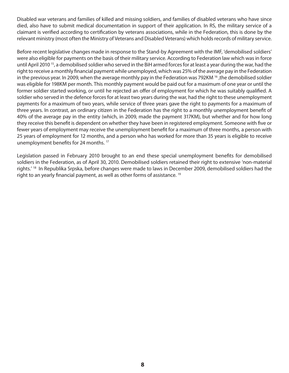Disabled war veterans and families of killed and missing soldiers, and families of disabled veterans who have since died, also have to submit medical documentation in support of their application. In RS, the military service of a claimant is verified according to certification by veterans associations, while in the Federation, this is done by the relevant ministry (most often the Ministry of Veterans and Disabled Veterans) which holds records of military service.

Before recent legislative changes made in response to the Stand-by Agreement with the IMF, 'demobilised soldiers' were also eligible for payments on the basis of their military service. According to Federation law which was in force until April 2010<sup>15</sup>, a demobilised soldier who served in the BiH armed forces for at least a year during the war, had the right to receive a monthly financial payment while unemployed, which was 25% of the average pay in the Federation in the previous year. In 2009, when the average monthly pay in the Federation was 792KM <sup>16</sup>, the demobilised soldier was eligible for 198KM per month. This monthly payment would be paid out for a maximum of one year or until the former soldier started working, or until he rejected an offer of employment for which he was suitably qualified. A soldier who served in the defence forces for at least two years during the war, had the right to these unemployment payments for a maximum of two years, while service of three years gave the right to payments for a maximum of three years. In contrast, an ordinary citizen in the Federation has the right to a monthly unemployment benefit of 40% of the average pay in the entity (which, in 2009, made the payment 317KM), but whether and for how long they receive this benefit is dependent on whether they have been in registered employment. Someone with five or fewer years of employment may receive the unemployment benefit for a maximum of three months, a person with 25 years of employment for 12 months, and a person who has worked for more than 35 years is eligible to receive unemployment benefits for 24 months.<sup>17</sup>

Legislation passed in February 2010 brought to an end these special unemployment benefits for demobilised soldiers in the Federation, as of April 30, 2010. Demobilised soldiers retained their right to extensive 'non-material rights.' 18 In Republika Srpska, before changes were made to laws in December 2009, demobilised soldiers had the right to an yearly financial payment, as well as other forms of assistance. <sup>19</sup>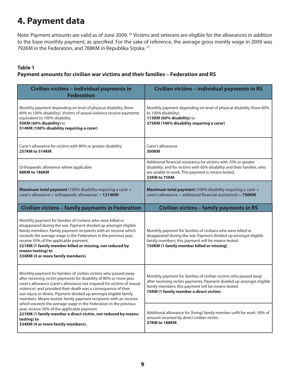# **4. Payment data**

Note: Payment amounts are valid as of June 2009. <sup>20</sup> Victims and veterans are eligible for the allowances in addition to the base monthly payment, as specified. For the sake of reference, the average gross montly wage in 2009 was 792KM in the Federation, and 788KM in Republika Srpska. 21

#### **Table 1**

#### **Payment amounts for civilian war victims and their families – Federation and RS**

| Civilian victims - individual payments in<br><b>Federation</b>                                                                                                                                                                                                                                                                                                                                                                        | Civilian victims - individual payments in RS                                                                                                                                                                                             |
|---------------------------------------------------------------------------------------------------------------------------------------------------------------------------------------------------------------------------------------------------------------------------------------------------------------------------------------------------------------------------------------------------------------------------------------|------------------------------------------------------------------------------------------------------------------------------------------------------------------------------------------------------------------------------------------|
| Monthly payment depending on level of physical disability (from<br>60% to 100% disability). Victims of sexual violence receive payments<br>equivalent to 100% disability.<br>93KM (60% disability) to<br>514KM (100% disability requiring a carer)                                                                                                                                                                                    | Monthly payment depending on level of physical disability (from 60%<br>to 100% disability).<br>113KM (60% disability) to<br>375KM (100% disability requiring a carer)                                                                    |
| Carer's allowance for victims with 80% or greater disability.<br>257KM to 514KM                                                                                                                                                                                                                                                                                                                                                       | Carer's allowance.<br><b>300KM</b>                                                                                                                                                                                                       |
| Orthopaedic allowance where applicable<br><b>88KM to 186KM</b>                                                                                                                                                                                                                                                                                                                                                                        | Additional financial assistance for victims with 70% or greater<br>disability; and for victims with 60% disability and their families, who<br>are unable to work. This payment is means-tested.<br>23KM to 75KM                          |
| Maximum total payment (100% disability requiring a carer +<br>carer's allowance + orthopaedic allowance) = $1214KM$                                                                                                                                                                                                                                                                                                                   | <b>Maximum total payment</b> (100% disability requiring a carer +<br>carer's allowance + additional financial assistance) = $750$ KM                                                                                                     |
| <b>Civilian victims - family payments in Federation</b>                                                                                                                                                                                                                                                                                                                                                                               | <b>Civilian victims - family payments in RS</b>                                                                                                                                                                                          |
| Monthly payment for families of civilians who were killed or<br>disappeared during the war. Payment divided up amongst eligible<br>family members. Family payment recipients with an income which<br>exceeds the average wage in the Federation in the previous year,<br>receive 50% of the applicable payment.<br>221KM (1 family member killed or missing, not reduced by<br>means-testing) to<br>334KM (4 or more family members). | Monthly payment for families of civilians who were killed or<br>disappeared during the war. Payment divided up amongst eligible<br>family members; this payment will be means-tested.<br>150KM (1 family member killed or missing)       |
| Monthly payment for families of civilian victims who passed away<br>after receiving victim payments for disability of 80% or more plus<br>carer's allowance (carer's allowance not required for victims of sexual<br>violence); and provided their death was a consequence of their<br>war injury or illness. Payment divided up amongst eligible family<br>members. Means-tested: family payment recipients with an income           | Monthly payment for families of civilian victims who passed away<br>after receiving victim payments. Payment divided up amongst eligible<br>family members; this payment will be means-tested.<br>75KM (1 family member a direct victim) |
| which exceeds the average wage in the Federation in the previous<br>year, receive 50% of the applicable payment.<br>221KM (1 family member a direct victim, not reduced by means-<br>testing) to<br>334KM (4 or more family members).                                                                                                                                                                                                 | Additional allowance for (living) family member unfit for work. 50% of<br>amount received by direct civilian victim.<br><b>57KM to 188KM</b>                                                                                             |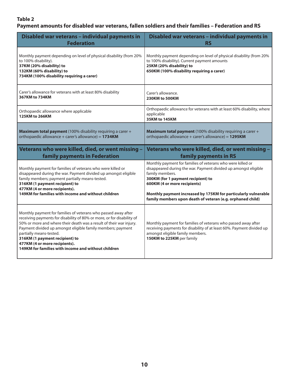#### **Payment amounts for disabled war veterans, fallen soldiers and their families – Federation and RS**

| Disabled war veterans - individual payments in                                                                                                                                                                                                                                                              | Disabled war veterans - individual payments in                                                                                                                                                                                                                                                                                                          |
|-------------------------------------------------------------------------------------------------------------------------------------------------------------------------------------------------------------------------------------------------------------------------------------------------------------|---------------------------------------------------------------------------------------------------------------------------------------------------------------------------------------------------------------------------------------------------------------------------------------------------------------------------------------------------------|
| <b>Federation</b>                                                                                                                                                                                                                                                                                           | <b>RS</b>                                                                                                                                                                                                                                                                                                                                               |
| Monthly payment depending on level of physical disability (from 20%<br>to 100% disability).<br>37KM (20% disability) to<br>132KM (60% disability) to<br>734KM (100% disability requiring a carer)                                                                                                           | Monthly payment depending on level of physical disability (from 20%<br>to 100% disability). Current payment amounts<br>25KM (20% disability) to<br>650KM (100% disability requiring a carer)                                                                                                                                                            |
| Carer's allowance for veterans with at least 80% disability                                                                                                                                                                                                                                                 | Carer's allowance.                                                                                                                                                                                                                                                                                                                                      |
| 367KM to 734KM                                                                                                                                                                                                                                                                                              | 230KM to 500KM                                                                                                                                                                                                                                                                                                                                          |
| Orthopaedic allowance where applicable<br>125KM to 266KM                                                                                                                                                                                                                                                    | Orthopaedic allowance for veterans with at least 60% disability, where<br>applicable<br>35KM to 145KM                                                                                                                                                                                                                                                   |
| Maximum total payment (100% disability requiring a carer +                                                                                                                                                                                                                                                  | Maximum total payment (100% disability requiring a carer +                                                                                                                                                                                                                                                                                              |
| orthopaedic allowance + carer's allowance) = 1734KM                                                                                                                                                                                                                                                         | orthopaedic allowance + carer's allowance) = 1295KM                                                                                                                                                                                                                                                                                                     |
|                                                                                                                                                                                                                                                                                                             |                                                                                                                                                                                                                                                                                                                                                         |
| Veterans who were killed, died, or went missing -                                                                                                                                                                                                                                                           | Veterans who were killed, died, or went missing -                                                                                                                                                                                                                                                                                                       |
| family payments in Federation                                                                                                                                                                                                                                                                               | family payments in RS                                                                                                                                                                                                                                                                                                                                   |
| Monthly payment for families of veterans who were killed or<br>disappeared during the war. Payment divided up amongst eligible<br>family members; payment partially means-tested.<br>316KM (1 payment recipient) to<br>477KM (4 or more recipients).<br>149KM for families with income and without children | Monthly payment for families of veterans who were killed or<br>disappeared during the war. Payment divided up amongst eligible<br>family members.<br>300KM (for 1 payment recipient) to<br>600KM (4 or more recipients)<br>Monthly payment increased by 175KM for particularly vulnerable<br>family members upon death of veteran (e.g. orphaned child) |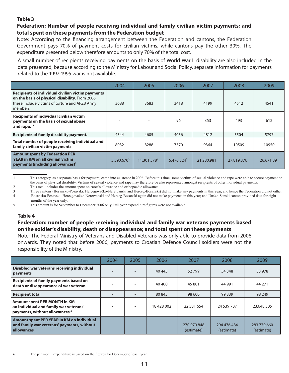#### **Federation: Number of people receiving individual and family civilian victim payments; and total spent on these payments from the Federation budget**

Note: According to the financing arrangement between the Federation and cantons, the Federation Government pays 70% of payment costs for civilian victims, while cantons pay the other 30%. The expenditure presented below therefore amounts to only 70% of the total cost.

A small number of recipients receiving payments on the basis of World War II disability are also included in the data presented, because according to the Ministry for Labour and Social Policy, separate information for payments related to the 1992-1995 war is not available.

|                                                                                                                                                                   | 2004                   | 2005        | 2006                   | 2007       | 2008       | 2009      |
|-------------------------------------------------------------------------------------------------------------------------------------------------------------------|------------------------|-------------|------------------------|------------|------------|-----------|
| Recipients of individual civilian victim payments<br>on the basis of physical disability. From 2006,<br>these include victims of torture and APZB Army<br>members | 3688                   | 3683        | 3418                   | 4199       | 4512       | 4541      |
| <b>Recipients of individual civilian victim</b><br>payments on the basis of sexual abuse<br>and rape. $1$                                                         |                        |             | 96                     | 353        | 493        | 612       |
| Recipients of family disability payment.                                                                                                                          | 4344                   | 4605        | 4056                   | 4812       | 5504       | 5797      |
| Total number of people receiving individual and<br>family civilian victim payments                                                                                | 8032                   | 8288        | 7570                   | 9364       | 10509      | 10950     |
| <b>Amount spent by Federation PER</b><br><b>YEAR in KM on all civilian victim</b><br>payments (including allowances) <sup>2</sup>                                 | 5,590,670 <sup>3</sup> | 11,301,5784 | 5,470,824 <sup>5</sup> | 21,280,981 | 27,819,376 | 26,671,89 |

1 This category, as a separate basis for payment, came into existence in 2006. Before this time, some victims of sexual violence and rape were able to secure payment on the basis of physical disability. Victims of sexual violence and rape may therefore be also represented amongst recipients of other individual payments.

2 This total includes the amount spent on carer's allowance and orthopaedic allowance.<br>Three cantons (Bosansko-Posavski: Hercegovačko-Neretvanski and Herceg-Bosanski

Three cantons (Bosansko-Posavski; Hercegovačko-Neretvanski and Herceg-Bosanski) did not make any payments in this year, and hence the Federation did not either. 4 Bosansko-Posavski; Hercegovačko-Neretvanski and Herceg-Bosanski again did not make payments in this year; and Unsko-Sanski canton provided data for eight months of the year only.

5 This amount is for September to December 2006 only. Full year expenditure figures were not available.

#### **Table 4**

#### **Federation: number of people receiving individual and family war veterans payments based on the soldier's disability, death or disappearance; and total spent on these payments**

Note: The Federal Ministry of Veterans and Disabled Veterans was only able to provide data from 2006 onwards. They noted that before 2006, payments to Croatian Defence Council soldiers were not the responsibility of the Ministry.

|                                                                                                                            | 2004 | 2005 | 2006     | 2007                      | 2008                      | 2009                      |
|----------------------------------------------------------------------------------------------------------------------------|------|------|----------|---------------------------|---------------------------|---------------------------|
| Disabled war veterans receiving individual<br>payments                                                                     |      |      | 40 4 45  | 52799                     | 54 348                    | 53 978                    |
| Recipients of family payments based on<br>death or disappearance of war veteran                                            |      |      | 40 400   | 45 801                    | 44 991                    | 44 271                    |
| <b>Recipient total</b>                                                                                                     |      |      | 80 845   | 98 600                    | 99 339                    | 98 249                    |
| <b>Amount spent PER MONTH in KM</b><br>on individual and family war veterans'<br>payments, without allowances <sup>6</sup> |      |      | 18428002 | 22 581 654                | 24 539 707                | 23,648,305                |
| Amount spent PER YEAR in KM on individual<br>and family war veterans' payments, without<br>allowances                      |      |      |          | 270 979 848<br>(estimate) | 294 476 484<br>(estimate) | 283 779 660<br>(estimate) |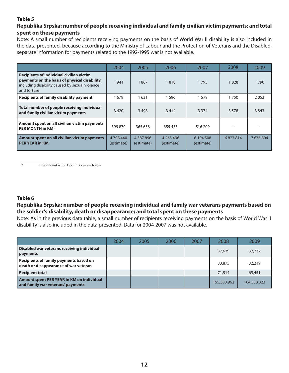#### **Republika Srpska: number of people receiving individual and family civilian victim payments; and total spent on these payments**

Note: A small number of recipients receiving payments on the basis of World War II disability is also included in the data presented, because according to the Ministry of Labour and the Protection of Veterans and the Disabled, separate information for payments related to the 1992-1995 war is not available.

|                                                                                                                                                                   | 2004                  | 2005                        | 2006                        | 2007                    | 2008    | 2009      |
|-------------------------------------------------------------------------------------------------------------------------------------------------------------------|-----------------------|-----------------------------|-----------------------------|-------------------------|---------|-----------|
| <b>Recipients of individual civilian victim</b><br>payments on the basis of physical disability,<br>including disability caused by sexual violence<br>and torture | 1941                  | 1867                        | 1818                        | 1795                    | 1828    | 1790      |
| <b>Recipients of family disability payment</b>                                                                                                                    | 679                   | 1631                        | 1596                        | 1579                    | 1750    | 2053      |
| Total number of people receiving individual<br>and family civilian victim payments                                                                                | 3620                  | 3498                        | 3414                        | 3 3 7 4                 | 3 5 7 8 | 3843      |
| Amount spent on all civilian victim payments<br>PER MONTH in KM <sup>7</sup>                                                                                      | 399 870               | 365 658                     | 355 453                     | 516 209                 |         |           |
| Amount spent on all civilian victim payments<br><b>PER YEAR in KM</b>                                                                                             | 4798440<br>(estimate) | 4 3 8 7 8 9 6<br>(estimate) | 4 2 6 5 4 3 6<br>(estimate) | 6 194 508<br>(estimate) | 6827814 | 7 676 804 |

7 This amount is for December in each year

#### **Table 6**

#### **Republika Srpska: number of people receiving individual and family war veterans payments based on the soldier's disability, death or disappearance; and total spent on these payments**

Note: As in the previous data table, a small number of recipients receiving payments on the basis of World War II disability is also included in the data presented. Data for 2004-2007 was not available.

|                                                                                 | 2004 | 2005 | 2006 | 2007 | 2008        | 2009        |
|---------------------------------------------------------------------------------|------|------|------|------|-------------|-------------|
| Disabled war veterans receiving individual<br>payments                          |      |      |      |      | 37,639      | 37,232      |
| Recipients of family payments based on<br>death or disappearance of war veteran |      |      |      |      | 33,875      | 32,219      |
| <b>Recipient total</b>                                                          |      |      |      |      | 71,514      | 69,451      |
| Amount spent PER YEAR in KM on individual<br>and family war veterans' payments  |      |      |      |      | 155,300,962 | 164,538,323 |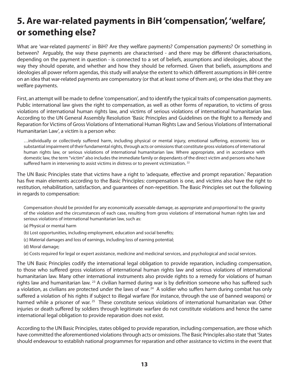# **5. Are war-related payments in BiH 'compensation' , 'welfare' , or something else?**

What are 'war-related payments' in BiH? Are they welfare payments? Compensation payments? Or something in between? Arguably, the way these payments are characterised - and there may be different characterisations, depending on the payment in question - is connected to a set of beliefs, assumptions and ideologies, about the way they should operate, and whether and how they should be reformed. Given that beliefs, assumptions and ideologies all power reform agendas, this study will analyse the extent to which different assumptions in BiH centre on an idea that war-related payments are compensatory (or that at least some of them are), or the idea that they are welfare payments.

First, an attempt will be made to define 'compensation', and to identify the typical traits of compensation payments. Public international law gives the right to compensation, as well as other forms of reparation, to victims of gross violations of international human rights law, and victims of serious violations of international humanitarian law. According to the UN General Assembly Resolution 'Basic Principles and Guidelines on the Right to a Remedy and Reparation for Victims of Gross Violations of International Human Rights Law and Serious Violations of International Humanitarian Law', a victim is a person who:

…individually or collectively suffered harm, including physical or mental injury, emotional suffering, economic loss or substantial impairment of their fundamental rights, through acts or omissions that constitute gross violations of international human rights law, or serious violations of international humanitarian law. Where appropriate, and in accordance with domestic law, the term "victim" also includes the immediate family or dependants of the direct victim and persons who have suffered harm in intervening to assist victims in distress or to prevent victimization.<sup>22</sup>

The UN Basic Principles state that victims have a right to 'adequate, effective and prompt reparation.' Reparation has five main elements according to the Basic Principles: compensation is one, and victims also have the right to restitution, rehabilitation, satisfaction, and guarantees of non-repetition. The Basic Principles set out the following in regards to compensation:

Compensation should be provided for any economically assessable damage, as appropriate and proportional to the gravity of the violation and the circumstances of each case, resulting from gross violations of international human rights law and serious violations of international humanitarian law, such as:

- (a) Physical or mental harm
- (b) Lost opportunities, including employment, education and social benefits;
- (c) Material damages and loss of earnings, including loss of earning potential;
- (d) Moral damage;
- (e) Costs required for legal or expert assistance, medicine and medicinal services, and psychological and social services.

The UN Basic Principles codify the international legal obligation to provide reparation, including compensation, to those who suffered gross violations of international human rights law and serious violations of international humanitarian law. Many other international instruments also provide rights to a remedy for violations of human rights law and humanitarian law. <sup>23</sup> A civilian harmed during war is by definition someone who has suffered such a violation, as civilians are protected under the laws of war.<sup>24</sup> A soldier who suffers harm during combat has only suffered a violation of his rights if subject to illegal warfare (for instance, through the use of banned weapons) or harmed while a prisoner of war.<sup>25</sup> These constitute serious violations of international humanitarian war. Other injuries or death suffered by soldiers through legitimate warfare do not constitute violations and hence the same international legal obligation to provide reparation does not exist.

According to the UN Basic Principles, states obliged to provide reparation, including compensation, are those which have committed the aforementioned violations through acts or omissions. The Basic Principles also state that 'States should endeavour to establish national programmes for reparation and other assistance to victims in the event that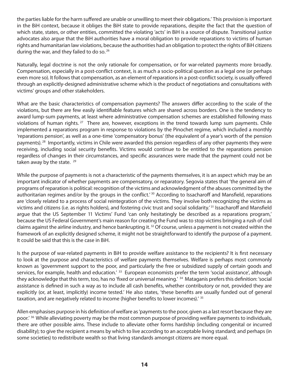the parties liable for the harm suffered are unable or unwilling to meet their obligations.' This provision is important in the BiH context, because it obliges the BiH state to provide reparations, despite the fact that the question of which state, states, or other entities, committed the violating 'acts' in BiH is a source of dispute. Transitional justice advocates also argue that the BiH authorities have a moral obligation to provide reparations to victims of human rights and humanitarian law violations, because the authorities had an obligation to protect the rights of BiH citizens during the war, and they failed to do so.<sup>26</sup>

Naturally, legal doctrine is not the only rationale for compensation, or for war-related payments more broadly. Compensation, especially in a post-conflict context, is as much a socio-political question as a legal one (or perhaps even more so). It follows that compensation, as an element of reparations in a post-conflict society, is usually offered through an explicitly-designed administrative scheme which is the product of negotiations and consultations with victims' groups and other stakeholders.

What are the basic characteristics of compensation payments? The answers differ according to the scale of the violations, but there are few easily identifiable features which are shared across borders. One is the tendency to award lump-sum payments, at least where administrative compensation schemes are established following mass violations of human rights.<sup>27</sup> There are, however, exceptions in the trend towards lump sum payments. Chile implemented a reparations program in response to violations by the Pinochet regime, which included a monthly 'reparations pension', as well as a one-time 'compensatory bonus' (the equivalent of a year's worth of the pension payments). <sup>28</sup> Importantly, victims in Chile were awarded this pension regardless of any other payments they were receiving, including social security benefits. Victims would continue to be entitled to the reparations pension regardless of changes in their circumstances, and specific assurances were made that the payment could not be taken away by the state.  $29$ 

While the purpose of payments is not a characteristic of the payments themselves, it is an aspect which may be an important indicator of whether payments are compensatory, or reparatory. Segovia states that 'the general aim of programs of reparation is political: recognition of the victims and acknowledgment of the abuses committed by the authoritarian regimes and/or by the groups in the conflict.<sup>' 30</sup> According to Issacharoff and Mansfield, reparations are 'closely related to a process of social reintegration of the victims. They involve both recognizing the victims as victims and citizens (i.e. as rights holders), and fostering civic trust and social solidarity.<sup>'31</sup> Issacharoff and Mansfield argue that the US September 11 Victims' Fund 'can only hesitatingly be described as a reparations program,' because the US Federal Government's main reason for creating the Fund was to stop victims bringing a rush of civil claims against the airline industry, and hence bankrupting it. <sup>32</sup> Of course, unless a payment is not created within the framework of an explicitly designed scheme, it might not be straightforward to identify the purpose of a payment. It could be said that this is the case in BiH.

Is the purpose of war-related payments in BiH to provide welfare assistance to the recipients? It is first necessary to look at the purpose and characteristics of welfare payments themselves. Welfare is perhaps most commonly known as 'government support to the poor, and particularly the free or subsidized supply of certain goods and services, for example, health and education.<sup>' 33</sup> European economists prefer the term 'social assistance', although they acknowledge that this term, too, has no 'fixed or universal meaning.' <sup>34</sup> Mataganis prefers this definition: 'social assistance is defined in such a way as to include all cash benefits, whether contributory or not, provided they are explicitly (or, at least, implicitly) income tested.' He also states, 'these benefits are usually funded out of general taxation, and are negatively related to income (higher benefits to lower incomes).'  $^{\rm 35}$ 

Allen emphasises purpose in his definition of welfare as 'payments to the poor, given as a last resort because they are poor.' <sup>36</sup> While alleviating poverty may be the most common purpose of providing welfare payments to individuals, there are other possible aims. These include to alleviate other forms hardship (including congenital or incurred disability); to give the recipient a means by which to live according to an acceptable living standard; and perhaps (in some societies) to redistribute wealth so that living standards amongst citizens are more equal.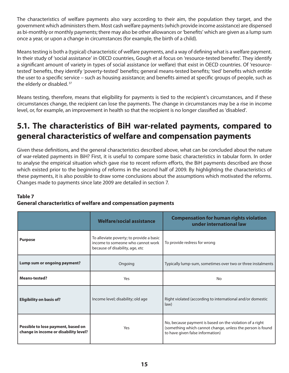The characteristics of welfare payments also vary according to their aim, the population they target, and the government which administers them. Most cash welfare payments (which provide income assistance) are dispensed as bi-monthly or monthly payments; there may also be other allowances or 'benefits' which are given as a lump sum once a year, or upon a change in circumstances (for example, the birth of a child).

Means testing is both a (typical) characteristic of welfare payments, and a way of defining what is a welfare payment. In their study of 'social assistance' in OECD countries, Gough et al focus on 'resource-tested benefits'. They identify a significant amount of variety in types of social assistance (or welfare) that exist in OECD countries. Of 'resourcetested' benefits, they identify 'poverty-tested' benefits; general means-tested benefits; 'tied' benefits which entitle the user to a specific service – such as housing assistance; and benefits aimed at specific groups of people, such as the elderly or disabled.<sup>37</sup>

Means testing, therefore, means that eligibility for payments is tied to the recipient's circumstances, and if these circumstances change, the recipient can lose the payments. The change in circumstances may be a rise in income level, or, for example, an improvement in health so that the recipient is no longer classified as 'disabled'.

### **5.1. The characteristics of BiH war-related payments, compared to general characteristics of welfare and compensation payments**

Given these definitions, and the general characteristics described above, what can be concluded about the nature of war-related payments in BiH? First, it is useful to compare some basic characteristics in tabular form. In order to analyse the empirical situation which gave rise to recent reform efforts, the BiH payments described are those which existed prior to the beginning of reforms in the second half of 2009. By highlighting the characteristics of these payments, it is also possible to draw some conclusions about the assumptions which motivated the reforms. Changes made to payments since late 2009 are detailed in section 7.

#### **Table 7**

#### **General characteristics of welfare and compensation payments**

|                                                                             | <b>Welfare/social assistance</b>                                                                                 | <b>Compensation for human rights violation</b><br>under international law                                                                                  |  |  |
|-----------------------------------------------------------------------------|------------------------------------------------------------------------------------------------------------------|------------------------------------------------------------------------------------------------------------------------------------------------------------|--|--|
| <b>Purpose</b>                                                              | To alleviate poverty; to provide a basic<br>income to someone who cannot work<br>because of disability, age, etc | To provide redress for wrong                                                                                                                               |  |  |
| Lump sum or ongoing payment?                                                | Ongoing                                                                                                          | Typically lump-sum, sometimes over two or three instalments                                                                                                |  |  |
| <b>Means-tested?</b>                                                        | Yes                                                                                                              | <b>No</b>                                                                                                                                                  |  |  |
| <b>Eligibility on basis of?</b>                                             | Income level; disability; old age                                                                                | Right violated (according to international and/or domestic<br>law)                                                                                         |  |  |
| Possible to lose payment, based on<br>change in income or disability level? | Yes                                                                                                              | No, because payment is based on the violation of a right<br>(something which cannot change, unless the person is found<br>to have given false information) |  |  |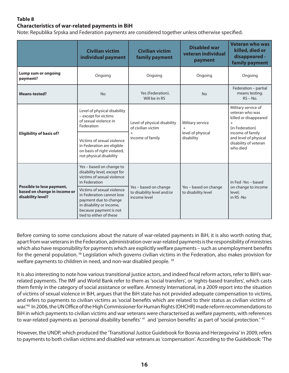#### **Characteristics of war-related payments in BiH**

Note: Republika Srpska and Federation payments are considered together unless otherwise specified.

|                                                                                | <b>Civilian victim</b><br>individual payment                                                                                                                      | <b>Civilian victim</b><br>family payment                            | <b>Disabled war</b><br>veteran individual<br>payment | <b>Veteran who was</b><br>killed, died or<br>disappeared -<br>family payment              |  |
|--------------------------------------------------------------------------------|-------------------------------------------------------------------------------------------------------------------------------------------------------------------|---------------------------------------------------------------------|------------------------------------------------------|-------------------------------------------------------------------------------------------|--|
| Lump sum or ongoing<br>payment?                                                | Ongoing                                                                                                                                                           | Ongoing                                                             | Ongoing                                              | Ongoing                                                                                   |  |
| <b>Means-tested?</b>                                                           | <b>No</b>                                                                                                                                                         | Yes (Federation).<br><b>No</b><br>Will be in RS                     |                                                      | Federation - partial<br>means testing.<br>$RS - No.$                                      |  |
|                                                                                | Level of physical disability<br>- except for victims<br>of sexual violence in<br>Federation                                                                       | Level of physical disability<br>of civilian victim                  | Military service<br>$+$                              | Military service of<br>veteran who was<br>killed or disappeared<br>$+$<br>(in Federation) |  |
| <b>Eligibility of basis of?</b>                                                | Victims of sexual violence<br>in Federation are eligible<br>on basis of right violated,<br>not physical disability                                                | $+$<br>income of family                                             | level of physical<br>disability                      | income of family<br>and level of physical<br>disability of veteran<br>who died            |  |
|                                                                                | Yes - based on change to<br>disability level, except for<br>victims of sexual violence<br>in Federation                                                           |                                                                     |                                                      | In Fed -Yes - based                                                                       |  |
| Possible to lose payment,<br>based on change in income or<br>disability level? | Victims of sexual violence<br>in Federation cannot lose<br>payment due to change<br>in disability or income,<br>because payment is not<br>tied to either of these | Yes - based on change<br>to disability level and/or<br>income level | Yes - based on change<br>to disability level         | on change to income<br>level:<br>in RS-No                                                 |  |

Before coming to some conclusions about the nature of war-related payments in BiH, it is also worth noting that, apart from war veterans in the Federation, administration over war-related payments is the responsibility of ministries which also have responsibility for payments which are explicitly welfare payments – such as unemployment benefits for the general population.<sup>38</sup> Legislation which governs civilian victims in the Federation, also makes provision for welfare payments to children in need, and non-war disabled people. <sup>39</sup>

It is also interesting to note how various transitional justice actors, and indeed fiscal reform actors, refer to BiH's warrelated payments. The IMF and World Bank refer to them as 'social transfers', or 'rights-based transfers', which casts them firmly in the category of social assistance or welfare. Amnesty International, in a 2009 report into the situation of victims of sexual violence in BiH, argues that the BiH state has not provided adequate compensation to victims, and refers to payments to civilian victims as 'social benefits which are related to their status as civilian victims of war.<sup>'40</sup> In 2006, the UN Office of the High Commissioner for Human Rights (OHCHR) made reform recommendations to BiH in which payments to civilian victims and war veterans were characterised as welfare payments, with references to war-related payments as 'personal disability benefits' <sup>41</sup> and 'pension benefits' as part of 'social protection.' <sup>42</sup>

However, the UNDP, which produced the 'Transitional Justice Guidebook for Bosnia and Herzegovina' in 2009, refers to payments to both civilian victims and disabled war veterans as 'compensation'. According to the Guidebook: 'The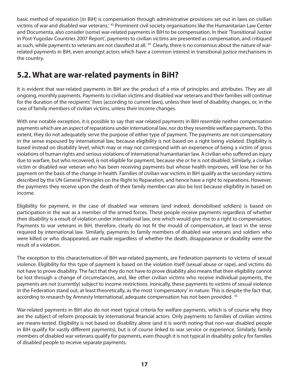basic method of reparation [in BiH] is compensation through administrative provisions set out in laws on civilian victims of war and disabled war veterans.' 43 Prominent civil society organisations like the Humanitarian Law Center and Documenta, also consider (some) war-related payments in BiH to be compensation. In their 'Transitional Justice in Post-Yugoslav Countries 2007 Report', payments to civilian victims are presented as compensation, and critiqued as such, while payments to veterans are not classified at all. <sup>44</sup> Clearly, there is no consensus about the nature of warrelated payments in BiH, even amongst actors which have a common interest in transitional justice mechanisms in the country.

### **5.2. What are war-related payments in BiH?**

It is evident that war-related payments in BiH are the product of a mix of principles and attributes. They are all ongoing, monthly payments. Payments to civilian victims and disabled war veterans and their families will continue for the duration of the recipients' lives (according to current laws), unless their level of disability changes, or, in the case of family members of civilian victims, unless their income changes.

With one notable exception, it is possible to say that war-related payments in BiH resemble neither compensation payments which are an aspect of reparations under international law, nor do they resemble welfare payments. To this extent, they do not adequately serve the purpose of either type of payment. The payments are not compensatory in the sense espoused by international law, because eligibility is not based on a right being violated. Eligibility is based instead on disability level, which may or may not correspond with an experience of being a victim of gross violations of human rights and serious violations of international humanitarian law. A civilian who suffered an injury due to warfare, but who recovered, is not eligible for payment, because she or he is not disabled. Similarly, a civilian victim or disabled war veteran who has been receiving payments but whose health improves, will lose her or his payment on the basis of the change in health. Families of civilian war victims in BiH qualify as the secondary victims described by the UN General Principles on the Right to Reparation, and hence have a right to reparations. However, the payments they receive upon the death of their family member can also be lost because eligibility in based on income.

Eligibility for payment, in the case of disabled war veterans (and indeed, demobilised soldiers) is based on participation in the war as a member of the armed forces. These people receive payments regardless of whether their disability is a result of violation under international law, one which would give rise to a right to compensation. Payments to war veterans in BiH, therefore, clearly do not fit the mould of compensation, at least in the sense required by international law. Similarly, payments to family members of disabled war veterans and soldiers who were killed or who disappeared, are made regardless of whether the death, disappearance or disability were the result of a violation.

The exception to this characterisation of BiH war-related payments, are Federation payments to victims of sexual violence. Eligibility for this type of payment is based on the violation itself (sexual abuse or rape), and victims do not have to prove disability. The fact that they do not have to prove disability also means that their eligibility cannot be lost through a change of circumstances, and, like other civilian victims who receive individual payments, the payments are not (currently) subject to income restrictions. Ironically, these payments to victims of sexual violence in the Federation stand out, at least theoretically, as the most 'compensatory' in nature. This is despite the fact that, according to research by Amnesty International, adequate compensation has not been provided. 45

War-related payments in BiH also do not meet typical criteria for welfare payments, which is of course why they are the subject of reform proposals by international financial actors. Only payments to families of civilian victims are means-tested. Eligibility is not based on disability alone (and it is worth noting that non-war disabled people in BiH qualify for vastly different payments), but is of course linked to war service or experience. Similarly, family members of disabled war veterans qualify for payments, even though it is not typical in disability policy for families of disabled people to receive separate payments.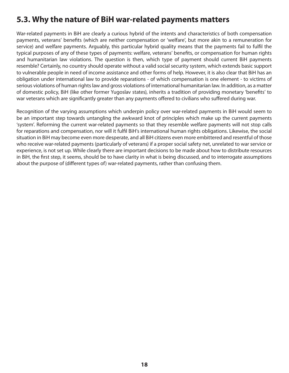### **5.3. Why the nature of BiH war-related payments matters**

War-related payments in BiH are clearly a curious hybrid of the intents and characteristics of both compensation payments, veterans' benefits (which are neither compensation or 'welfare', but more akin to a remuneration for service) and welfare payments. Arguably, this particular hybrid quality means that the payments fail to fulfil the typical purposes of any of these types of payments: welfare, veterans' benefits, or compensation for human rights and humanitarian law violations. The question is then, which type of payment should current BiH payments resemble? Certainly, no country should operate without a valid social security system, which extends basic support to vulnerable people in need of income assistance and other forms of help. However, it is also clear that BiH has an obligation under international law to provide reparations - of which compensation is one element - to victims of serious violations of human rights law and gross violations of international humanitarian law. In addition, as a matter of domestic policy, BiH (like other former Yugoslav states), inherits a tradition of providing monetary 'benefits' to war veterans which are significantly greater than any payments offered to civilians who suffered during war.

Recognition of the varying assumptions which underpin policy over war-related payments in BiH would seem to be an important step towards untangling the awkward knot of principles which make up the current payments 'system'. Reforming the current war-related payments so that they resemble welfare payments will not stop calls for reparations and compensation, nor will it fulfil BiH's international human rights obligations. Likewise, the social situation in BiH may become even more desperate, and all BiH citizens even more embittered and resentful of those who receive war-related payments (particularly of veterans) if a proper social safety net, unrelated to war service or experience, is not set up. While clearly there are important decisions to be made about how to distribute resources in BiH, the first step, it seems, should be to have clarity in what is being discussed, and to interrogate assumptions about the purpose of (different types of) war-related payments, rather than confusing them.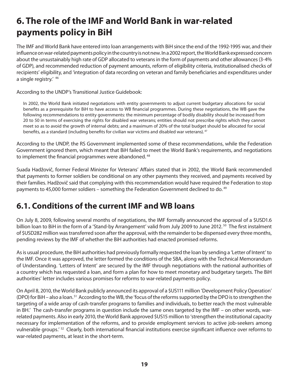# **6. The role of the IMF and World Bank in war-related payments policy in BiH**

The IMF and World Bank have entered into loan arrangements with BiH since the end of the 1992-1995 war, and their influence on war-related payments policy in the country is not new. In a 2002 report, the World Bank expressed concern about the unsustainably high rate of GDP allocated to veterans in the form of payments and other allowances (3-4% of GDP), and recommended reduction of payment amounts, reform of eligibility criteria, institutionalised checks of recipients' eligibility, and 'integration of data recording on veteran and family beneficiaries and expenditures under a single registry.' 46

According to the UNDP's Transitional Justice Guidebook:

In 2002, the World Bank initiated negotiations with entity governments to adjust current budgetary allocations for social benefits as a prerequisite for BiH to have access to WB financial programmes. During these negotiations, the WB gave the following recommendations to entity governments: the minimum percentage of bodily disability should be increased from 20 to 50 in terms of exercising the rights for disabled war veterans; entities should not prescribe rights which they cannot meet so as to avoid the growth of internal debts; and a maximum of 20% of the total budget should be allocated for social benefits, as a standard (including benefits for civilian war victims and disabled war veterans). $^{47}$ 

According to the UNDP, the RS Government implemented some of these recommendations, while the Federation Government ignored them, which meant that BiH failed to meet the World Bank's requirements, and negotiations to implement the financial programmes were abandoned.<sup>48</sup>

Suada Hadžovič, former Federal Minister for Veterans' Affairs stated that in 2002, the World Bank recommended that payments to former soldiers be conditional on any other payments they received, and payments received by their families. Hadžovič said that complying with this recommendation would have required the Federation to stop payments to 45,000 former soldiers – something the Federation Government declined to do.<sup>49</sup>

### **6.1. Conditions of the current IMF and WB loans**

On July 8, 2009, following several months of negotiations, the IMF formally announced the approval of a \$USD1.6 billion loan to BiH in the form of a 'Stand-by Arrangement' valid from July 2009 to June 2012.<sup>50</sup> The first instalment of \$USD282 million was transferred soon after the approval, with the remainder to be dispensed every three months, pending reviews by the IMF of whether the BiH authorities had enacted promised reforms.

As is usual procedure, the BiH authorities had previously formally requested the loan by sending a 'Letter of Intent' to the IMF. Once it was approved, the letter formed the conditions of the SBA, along with the Technical Memorandum of Understanding. 'Letters of Intent' are secured by the IMF through negotiations with the national authorities of a country which has requested a loan, and form a plan for how to meet monetary and budgetary targets. The BiH authorities' letter includes various promises for reforms to war-related payments policy.

On April 8, 2010, the World Bank publicly announced its approval of a \$US111 million 'Development Policy Operation' (DPO) for BiH – also a loan. <sup>51</sup> According to the WB, the 'focus of the reforms supported by the DPO is to strengthen the targeting of a wide array of cash-transfer programs to families and individuals, to better reach the most vulnerable in BH.' The cash-transfer programs in question include the same ones targeted by the IMF – on other words, warrelated payments. Also in early 2010, the World Bank approved \$US15 million to 'strengthen the institutional capacity necessary for implementation of the reforms, and to provide employment services to active job-seekers among vulnerable groups.<sup>' 52</sup> Clearly, both international financial institutions exercise significant influence over reforms to war-related payments, at least in the short-term.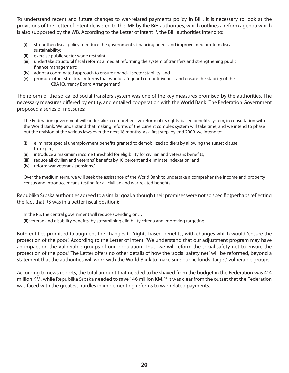To understand recent and future changes to war-related payments policy in BiH, it is necessary to look at the provisions of the Letter of Intent delivered to the IMF by the BiH authorities, which outlines a reform agenda which is also supported by the WB. According to the Letter of Intent  $^{53}$ , the BiH authorities intend to:

- (i) strengthen fiscal policy to reduce the government's financing needs and improve medium-term fiscal sustainability;
- (ii) exercise public sector wage restraint;
- (iii) undertake structural fiscal reforms aimed at reforming the system of transfers and strengthening public finance management;
- (iv) adopt a coordinated approach to ensure financial sector stability; and
- (v) promote other structural reforms that would safeguard competitiveness and ensure the stability of the CBA [Currency Board Arrangement]

The reform of the so-called social transfers system was one of the key measures promised by the authorities. The necessary measures differed by entity, and entailed cooperation with the World Bank. The Federation Government proposed a series of measures:

The Federation government will undertake a comprehensive reform of its rights-based benefits system, in consultation with the World Bank. We understand that making reforms of the current complex system will take time; and we intend to phase out the revision of the various laws over the next 18 months. As a first step, by end 2009, we intend to:

- (i) eliminate special unemployment benefits granted to demobilized soldiers by allowing the sunset clause to expire;
- (ii) introduce a maximum income threshold for eligibility for civilian and veterans benefits;
- (iii) reduce all civilian and veterans' benefits by 10 percent and eliminate indexation; and
- (iv) reform war veterans' pensions.'

Over the medium term, we will seek the assistance of the World Bank to undertake a comprehensive income and property census and introduce means-testing for all civilian and war-related benefits.

Republika Srpska authorities agreed to a similar goal, although their promises were not so specific (perhaps reflecting the fact that RS was in a better fiscal position):

In the RS, the central government will reduce spending on…

(ii) veteran and disability benefits, by streamlining eligibility criteria and improving targeting

Both entities promised to augment the changes to 'rights-based benefits', with changes which would 'ensure the protection of the poor'. According to the Letter of Intent: 'We understand that our adjustment program may have an impact on the vulnerable groups of our population. Thus, we will reform the social safety net to ensure the protection of the poor.' The Letter offers no other details of how the 'social safety net' will be reformed, beyond a statement that the authorities will work with the World Bank to make sure public funds 'target' vulnerable groups.

According to news reports, the total amount that needed to be shaved from the budget in the Federation was 414 million KM, while Republika Srpska needed to save 146 million KM.<sup>54</sup> It was clear from the outset that the Federation was faced with the greatest hurdles in implementing reforms to war-related payments.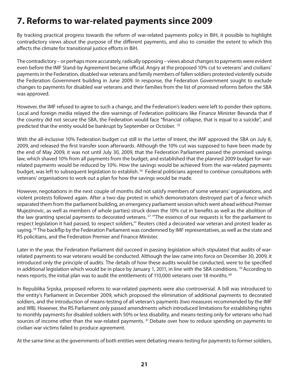# **7. Reforms to war-related payments since 2009**

By tracking practical progress towards the reform of war-related payments policy in BiH, it possible to highlight contradictory views about the purpose of the different payments, and also to consider the extent to which this affects the climate for transitional justice efforts in BiH.

The contradictory – or perhaps more accurately, radically opposing – views about changes to payments were evident even before the IMF Stand-by Agreement became official. Angry at the proposed 10% cut to veterans' and civilians' payments in the Federation, disabled war veterans and family members of fallen soldiers protested violently outside the Federation Government building in June 2009. In response, the Federation Government sought to exclude changes to payments for disabled war veterans and their families from the list of promised reforms before the SBA was approved.

However, the IMF refused to agree to such a change, and the Federation's leaders were left to ponder their options. Local and foreign media relayed the dire warnings of Federation politicians like Finance Minister Bevanda that if the country did not secure the SBA, the Federation would face "financial collapse, that is equal to a suicide", and predicted that the entity would be bankrupt by September or October. 55

With the all-inclusive 10% Federation budget cut still in the Letter of Intent, the IMF approved the SBA on July 8, 2009, and released the first transfer soon afterwards. Although the 10% cut was supposed to have been made by the end of May 2009, it was not until July 30, 2009, that the Federation Parliament passed the promised savings law, which shaved 10% from all payments from the budget, and established that the planned 2009 budget for warrelated payments would be reduced by 10%. How the savings would be achieved from the war-related payments budget, was left to subsequent legislation to establish.<sup>56</sup> Federal politicians agreed to continue consultations with veterans' organisations to work out a plan for how the savings would be made.

However, negotiations in the next couple of months did not satisfy members of some veterans' organisations, and violent protests followed again. After a two-day protest in which demonstrators destroyed part of a fence which separated them from the parliament building, an emergency parliament session which went ahead without Premier Mujezinovic, as well as members of whole parties) struck down the 10% cut in benefits as well as the abolition of the law granting special payments to decorated veterans.<sup>57</sup> "The essence of our requests is for the parliament to respect legislation it had passed, to respect soldiers,"' Reuters cited a decorated war veteran and protest leader as saying.<sup>58</sup> The backflip by the Federation Parliament was condemned by IMF representatives, as well as the state and RS policitians, and the Federation Premier and Finance Minister.

Later in the year, the Federation Parliament did succeed in passing legislation which stipulated that audits of warrelated payments to war veterans would be conducted. Although the law came into force on December 30, 2009, it introduced only the principle of audits. The details of how these audits would be conducted, were to be specified in additional legislation which would be in place by January 1, 2011, in line with the SBA conditions. <sup>59</sup> According to news reports, the initial plan was to audit the entitlements of 110,000 veterans over 18 months.<sup>60</sup>

In Republika Srpska, proposed reforms to war-related payments were also controversial. A bill was introduced to the entity's Parliament in December 2009, which proposed the elimination of additional payments to decorated soldiers, and the introduction of means-testing of all veteran's payments (two measures recommended by the IMF and WB). However, the RS Parliament only passed amendments which introduced limitations for establishing rights to monthly payments for disabled soldiers with 50% or less disability, and means-testing only for veterans who had sources of income other than the war-related payments. <sup>61</sup> Debate over how to reduce spending on payments to civilian war victims failed to produce agreement.

At the same time as the governments of both entities were debating means-testing for payments to former soldiers,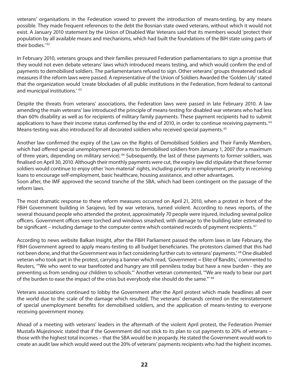veterans' organisations in the Federation vowed to prevent the introduction of means-testing, by any means possible. They made frequent references to the debt the Bosnian state owed veterans, without which it would not exist. A January 2010 statement by the Union of Disabled War Veterans said that its members would 'protect their population by all available means and mechanisms, which had built the foundations of the BiH state using parts of their bodies.<sup>'62</sup>

In February 2010, veterans groups and their families pressured Federation parliamentarians to sign a promise that they would not even debate veterans' laws which introduced means testing, and which would confirm the end of payments to demobilised soldiers. The parliamentarians refused to sign. Other veterans' groups threatened radical measures if the reform laws were passed. A representative of the Union of Soldiers Awarded the 'Golden Lily' stated that the organization would 'create blockades of all public institutions in the Federation, from federal to cantonal and municipal institutions.' 63

Despite the threats from veterans' associations, the Federation laws were passed in late February 2010. A law amending the main veterans' law introduced the principle of means-testing for disabled war veterans who had less than 60% disability as well as for recipients of military family payments. These payment recipients had to submit applications to have their income status confirmed by the end of 2010, in order to continue receiving payments.  $64$ Means-testing was also introduced for all decorated soldiers who received special payments.<sup>65</sup>

Another law confirmed the expiry of the Law on the Rights of Demobilised Soldiers and Their Family Members, which had offered special unemployment payments to demobilised soldiers from January 1, 2007 (for a maximum of three years, depending on military service).<sup>66</sup> Subsequently, the last of these payments to former soldiers, was finalised on April 30, 2010. Although their monthly payments were cut, the expiry law did stipulate that these former soldiers would continue to enjoy other 'non-material' rights, including priority in employment, priority in receiving loans to encourage self-employment, basic healthcare, housing assistance, and other advantages. Soon after, the IMF approved the second tranche of the SBA, which had been contingent on the passage of the

reform laws.

The most dramatic response to these reform measures occurred on April 21, 2010, when a protest in front of the FBiH Government building in Sarajevo, led by war veterans, turned violent. According to news reports, of the several thousand people who attended the protest, approximately 70 people were injured, including several police officers. Government offices were torched and windows smashed, with damage to the building later estimated to be significant – including damage to the computer centre which contained records of payment recipients. <sup>67</sup>

According to news website Balkan Insight, after the FBiH Parliament passed the reform laws in late February, the FBiH Government agreed to apply means-testing to all budget beneficiaries. The protestors claimed that this had not been done, and that the Government was in fact considering further cuts to veterans' payments.' <sup>68</sup> One disabled veteran who took part in the protest, carrying a banner which read, 'Government = Elite of Bandits,' commented to Reuters, '"We who went to war barefooted and hungry are still penniless today but have a new burden - they are preventing us from sending our children to schools."' Another veteran commented, '"We are ready to bear our part of the burden to ease the impact of the crisis but everybody else should do the same."<sup>69</sup>

Veterans associations continued to lobby the Government after the April protest which made headlines all over the world due to the scale of the damage which resulted. The veterans' demands centred on the reinstatement of special unemployment benefits for demobilised soldiers, and the application of means-testing to everyone receiving government money.

Ahead of a meeting with veterans' leaders in the aftermath of the violent April protest, the Federation Premier Mustafa Mujezinovic stated that if the Government did not stick to its plan to cut payments to 20% of veterans – those with the highest total incomes – that the SBA would be in jeopardy. He stated the Government would work to create an audit law which would weed out the 20% of veterans' payments recipients who had the highest incomes.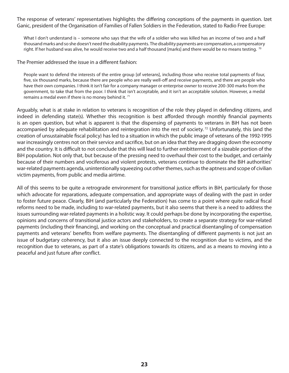The response of veterans' representatives highlights the differing conceptions of the payments in question. Izet Ganic, president of the Organisation of Families of Fallen Soldiers in the Federation, stated to Radio Free Europe:

What I don't understand is – someone who says that the wife of a soldier who was killed has an income of two and a half thousand marks and so she doesn't need the disability payments. The disability payments are compensation, a compensatory right. If her husband was alive, he would receive two and a half thousand [marks] and there would be no means testing. <sup>70</sup>

The Premier addressed the issue in a different fashion:

People want to defend the interests of the entire group [of veterans], including those who receive total payments of four, five, six thousand marks, because there are people who are really well-off and receive payments, and there are people who have their own companies. I think it isn't fair for a company manager or enterprise owner to receive 200-300 marks from the government, to take that from the poor. I think that isn't acceptable, and it isn't an acceptable solution. However, a medal remains a medal even if there is no money behind it.<sup>71</sup>

Arguably, what is at stake in relation to veterans is recognition of the role they played in defending citizens, and indeed in defending state(s). Whether this recognition is best afforded through monthly financial payments is an open question, but what is apparent is that the dispensing of payments to veterans in BiH has not been accompanied by adequate rehabilitation and reintegration into the rest of society.<sup>72</sup> Unfortunately, this (and the creation of unsustainable fiscal policy) has led to a situation in which the public image of veterans of the 1992-1995 war increasingly centres not on their service and sacrifice, but on an idea that they are dragging down the economy and the country. It is difficult to not conclude that this will lead to further embitterment of a sizeable portion of the BiH population. Not only that, but because of the pressing need to overhaul their cost to the budget, and certainly because of their numbers and vociferous and violent protests, veterans continue to dominate the BiH authorities' war-related payments agenda, unintentionally squeezing out other themes, such as the aptness and scope of civilian victim payments, from public and media airtime.

All of this seems to be quite a retrograde environment for transitional justice efforts in BiH, particularly for those which advocate for reparations, adequate compensation, and appropriate ways of dealing with the past in order to foster future peace. Clearly, BiH (and particularly the Federation) has come to a point where quite radical fiscal reforms need to be made, including to war-related payments, but it also seems that there is a need to address the issues surrounding war-related payments in a holistic way. It could perhaps be done by incorporating the expertise, opinions and concerns of transitional justice actors and stakeholders, to create a separate strategy for war-related payments (including their financing), and working on the conceptual and practical disentangling of compensation payments and veterans' benefits from welfare payments. The disentangling of different payments is not just an issue of budgetary coherency, but it also an issue deeply connected to the recognition due to victims, and the recognition due to veterans, as part of a state's obligations towards its citizens, and as a means to moving into a peaceful and just future after conflict.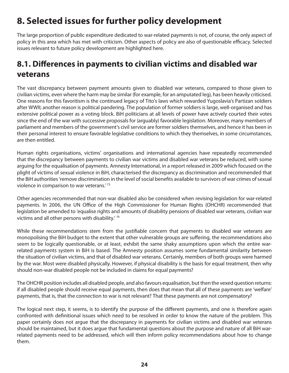# **8. Selected issues for further policy development**

The large proportion of public expenditure dedicated to war-related payments is not, of course, the only aspect of policy in this area which has met with criticism. Other aspects of policy are also of questionable efficacy. Selected issues relevant to future policy development are highlighted here.

### **8.1. Differences in payments to civilian victims and disabled war veterans**

The vast discrepancy between payment amounts given to disabled war veterans, compared to those given to civilian victims, even where the harm may be similar (for example, for an amputated leg), has been heavily criticised. One reasons for this favoritism is the continued legacy of Tito's laws which rewarded Yugoslavia's Partizan soldiers after WWII; another reason is political pandering. The population of former soldiers is large, well-organised and has extensive political power as a voting block. BiH politicians at all levels of power have actively courted their votes since the end of the war with successive proposals for (arguably) favorable legislation. Moreover, many members of parliament and members of the government's civil service are former soldiers themselves, and hence it has been in their personal interest to ensure favorable legislative conditions to which they themselves, in some circumstances, are then entitled.

Human rights organisations, victims' organisations and international agencies have repeatedly recommended that the discrepancy between payments to civilian war victims and disabled war veterans be reduced, with some arguing for the equalisation of payments. Amnesty International, in a report released in 2009 which focused on the plight of victims of sexual violence in BiH, characterised the discrepancy as discrimination and recommended that the BiH authorities 'remove discrimination in the level of social benefits available to survivors of war crimes of sexual violence in comparison to war veterans.<sup>'73</sup>

Other agencies recommended that non-war disabled also be considered when revising legislation for war-related payments. In 2006, the UN Office of the High Commissioner for Human Rights (OHCHR) recommended that legislation be amended to 'equalise rights and amounts of disability pensions of disabled war veterans, civilian war victims and all other persons with disability.' 74

While these recommendations stem from the justifiable concern that payments to disabled war veterans are monopolising the BiH budget to the extent that other vulnerable groups are suffering, the recommendations also seem to be logically questionable, or at least, exhibit the same shaky assumptions upon which the entire warrelated payments system in BiH is based. The Amnesty position assumes some fundamental similarity between the situation of civilian victims, and that of disabled war veterans. Certainly, members of both groups were harmed by the war. Most were disabled physically. However, if physical disability is the basis for equal treatment, then why should non-war disabled people not be included in claims for equal payments?

The OHCHR position includes all disabled people, and also favours equalisation, but then the vexed question returns: if all disabled people should receive equal payments, then does that mean that all of these payments are 'welfare' payments, that is, that the connection to war is not relevant? That these payments are not compensatory?

The logical next step, it seems, is to identify the purpose of the different payments, and one is therefore again confronted with definitional issues which need to be resolved in order to know the nature of the problem. This paper certainly does not argue that the discrepancy in payments for civilian victims and disabled war veterans should be maintained, but it does argue that fundamental questions about the purpose and nature of all BiH warrelated payments need to be addressed, which will then inform policy recommendations about how to change them.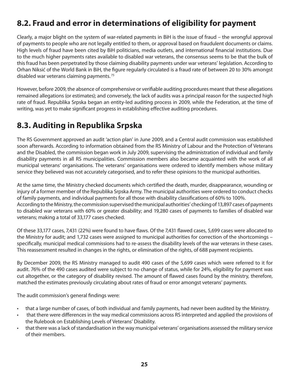### **8.2. Fraud and error in determinations of eligibility for payment**

Clearly, a major blight on the system of war-related payments in BiH is the issue of fraud – the wrongful approval of payments to people who are not legally entitled to them, or approval based on fraudulent documents or claims. High levels of fraud have been cited by BiH politicians, media outlets, and international financial institutions. Due to the much higher payments rates available to disabled war veterans, the consensus seems to be that the bulk of this fraud has been perpetrated by those claiming disability payments under war veterans' legislation. According to Orhan Niksić of the World Bank in BiH, the figure regularly circulated is a fraud rate of between 20 to 30% amongst disabled war veterans claiming payments. 75

However, before 2009, the absence of comprehensive or verifiable auditing procedures meant that these allegations remained allegations (or estimates); and conversely, the lack of audits was a principal reason for the suspected high rate of fraud. Republika Srpska began an entity-led auditing process in 2009, while the Federation, at the time of writing, was yet to make significant progress in establishing effective auditing procedures.

### **8.3. Auditing in Republika Srpska**

The RS Government approved an audit 'action plan' in June 2009, and a Central audit commission was established soon afterwards. According to information obtained from the RS Ministry of Labour and the Protection of Veterans and the Disabled, the commission began work in July 2009, supervising the administration of individual and family disability payments in all RS municipalities. Commission members also became acquainted with the work of all municipal veterans' organisations. The veterans' organisations were ordered to identify members whose military service they believed was not accurately categorised, and to refer these opinions to the municipal authorities.

At the same time, the Ministry checked documents which certified the death, murder, disappearance, wounding or injury of a former member of the Republika Srpska Army. The municipal authorities were ordered to conduct checks of family payments, and individual payments for all those with disability classifications of 60% to 100%. According to the Ministry, the commission supervised the municipal authorities' checking of 13,897 cases of payments to disabled war veterans with 60% or greater disability; and 19,280 cases of payments to families of disabled war veterans; making a total of 33,177 cases checked.

Of these 33,177 cases, 7,431 (22%) were found to have flaws. Of the 7,431 flawed cases, 5,699 cases were allocated to the Ministry for audit; and 1,732 cases were assigned to municipal authorities for correction of the shortcomings – specifically, municipal medical commissions had to re-assess the disability levels of the war veterans in these cases. This reassessment resulted in changes in the rights, or elimination of the rights, of 688 payment recipients.

By December 2009, the RS Ministry managed to audit 490 cases of the 5,699 cases which were referred to it for audit. 76% of the 490 cases audited were subject to no change of status, while for 24%, eligibility for payment was cut altogether, or the category of disability revised. The amount of flawed cases found by the ministry, therefore, matched the estimates previously circulating about rates of fraud or error amongst veterans' payments.

The audit commission's general findings were:

- $\cdot$  that a large number of cases, of both individual and family payments, had never been audited by the Ministry.
- $\cdot$  that there were differences in the way medical commissions across RS interpreted and applied the provisions of the Rulebook on Establishing Levels of Veterans' Disability.
- t that there was a lack of standardisation in the way municipal veterans' organisations assessed the military service of their members.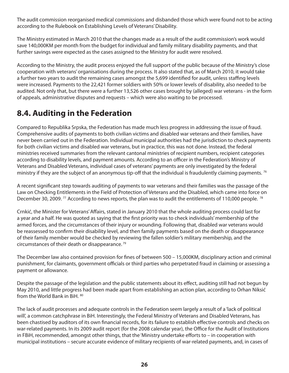The audit commission reorganised medical commissions and disbanded those which were found not to be acting according to the Rulebook on Establishing Levels of Veterans' Disability.

The Ministry estimated in March 2010 that the changes made as a result of the audit commission's work would save 140,000KM per month from the budget for individual and family military disability payments, and that further savings were expected as the cases assigned to the Ministry for audit were resolved.

According to the Ministry, the audit process enjoyed the full support of the public because of the Ministry's close cooperation with veterans' organisations during the process. It also stated that, as of March 2010, it would take a further two years to audit the remaining cases amongst the 5,699 identified for audit, unless staffing levels were increased. Payments to the 22,421 former soldiers with 50% or lower levels of disability, also needed to be audited. Not only that, but there were a further 13,526 other cases brought by (alleged) war veterans - in the form of appeals, administrative disputes and requests – which were also waiting to be processed.

### **8.4. Auditing in the Federation**

Compared to Republika Srpska, the Federation has made much less progress in addressing the issue of fraud. Comprehensive audits of payments to both civilian victims and disabled war veterans and their families, have never been carried out in the Federation. Individual municipal authorities had the jurisdiction to check payments for both civilian victims and disabled war veterans, but in practice, this was not done. Instead, the federal ministries received summaries from the relevant cantonal ministries of recipient numbers, recipient categories according to disability levels, and payment amounts. According to an officer in the Federation's Ministry of Veterans and Disabled Veterans, individual cases of veterans' payments are only investigated by the federal ministry if they are the subject of an anonymous tip-off that the individual is fraudulently claiming payments.  $^{76}$ 

A recent significant step towards auditing of payments to war veterans and their families was the passage of the Law on Checking Entitlements in the Field of Protection of Veterans and the Disabled, which came into force on December 30, 2009. <sup>77</sup> According to news reports, the plan was to audit the entitlements of 110,000 people. <sup>78</sup>

Crnkić, the Minister for Veterans' Affairs, stated in January 2010 that the whole auditing process could last for a year and a half. He was quoted as saying that the first priority was to check individuals' membership of the armed forces, and the circumstances of their injury or wounding. Following that, disabled war veterans would be reassessed to confirm their disability level, and then family payments based on the death or disappearance of their family member would be checked by reviewing the fallen soldier's military membership, and the circumstances of their death or disappearance.<sup>79</sup>

The December law also contained provision for fines of between 500 – 15,000KM, disciplinary action and criminal punishment, for claimants, government officials or third parties who perpetrated fraud in claiming or assessing a payment or allowance.

Despite the passage of the legislation and the public statements about its effect, auditing still had not begun by May 2010, and little progress had been made apart from establishing an action plan, according to Orhan Niksić from the World Bank in BiH. 80

The lack of audit processes and adequate controls in the Federation seem largely a result of a 'lack of political will', a common catchphrase in BiH. Interestingly, the Federal Ministry of Veterans and Disabled Veterans, has been chastised by auditors of its own financial records, for its failure to establish effective controls and checks on war-related payments. In its 2009 audit report (for the 2008 calendar year), the Office for the Audit of Institutions in FBiH, recommended, amongst other things, that the 'Ministry undertake efforts to - in cooperation with municipal institutions – secure accurate evidence of military recipients of war-related payments, and, in cases of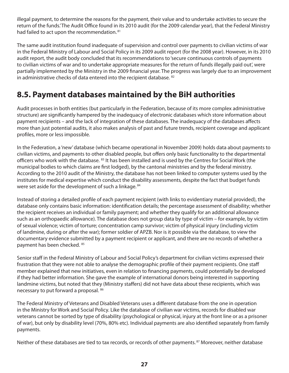illegal payment, to determine the reasons for the payment, their value and to undertake activities to secure the return of the funds. The Audit Office found in its 2010 audit (for the 2009 calendar year), that the Federal Ministry had failed to act upon the recommendation. <sup>81</sup>

The same audit institution found inadequate of supervision and control over payments to civilian victims of war in the Federal Ministry of Labour and Social Policy in its 2009 audit report (for the 2008 year). However, in its 2010 audit report, the audit body concluded that its recommendations to 'secure continuous controls of payments to civilian victims of war and to undertake appropriate measures for the return of funds illegally paid out', were partially implemented by the Ministry in the 2009 financial year. The progress was largely due to an improvement in administrative checks of data entered into the recipient database. <sup>82</sup>

### **8.5. Payment databases maintained by the BiH authorities**

Audit processes in both entities (but particularly in the Federation, because of its more complex administrative structure) are significantly hampered by the inadequacy of electronic databases which store information about payment recipients - and the lack of integration of these databases. The inadequacy of the databases affects more than just potential audits, it also makes analysis of past and future trends, recipient coverage and applicant profiles, more or less impossible.

In the Federation, a 'new' database (which became operational in November 2009) holds data about payments to civilian victims, and payments to other disabled people, but offers only basic functionality to the departmental officers who work with the database. <sup>83</sup> It has been installed and is used by the Centres for Social Work (the municipal bodies to which claims are first lodged), by the cantonal ministries and by the federal ministry. According to the 2010 audit of the Ministry, the database has not been linked to computer systems used by the institutes for medical expertise which conduct the disability assessments, despite the fact that budget funds were set aside for the development of such a linkage.<sup>84</sup>

Instead of storing a detailed profile of each payment recipient (with links to evidentiary material provided), the database only contains basic information: identification details; the percentage assessment of disability; whether the recipient receives an individual or family payment; and whether they qualify for an additional allowance such as an orthopaedic allowance). The database does not group data by type of victim – for example, by victim of sexual violence; victim of torture; concentration camp survivor; victim of physical injury (including victim of landmine, during or after the war); former soldier of APZB. Nor is it possible via the database, to view the documentary evidence submitted by a payment recipient or applicant, and there are no records of whether a payment has been checked. <sup>85</sup>

Senior staff in the Federal Ministry of Labour and Social Policy's department for civilian victims expressed their frustration that they were not able to analyse the demographic profile of their payment recipients. One staff member explained that new initiatives, even in relation to financing payments, could potentially be developed if they had better information. She gave the example of international donors being interested in supporting landmine victims, but noted that they (Ministry staffers) did not have data about these recipients, which was necessary to put forward a proposal. <sup>86</sup>

The Federal Ministry of Veterans and Disabled Veterans uses a different database from the one in operation in the Ministry for Work and Social Policy. Like the database of civilian war victims, records for disabled war veterans cannot be sorted by type of disability (psychological or physical, injury at the front line or as a prisoner of war), but only by disability level (70%, 80% etc). Individual payments are also identified separately from family payments.

Neither of these databases are tied to tax records, or records of other payments.<sup>87</sup> Moreover, neither database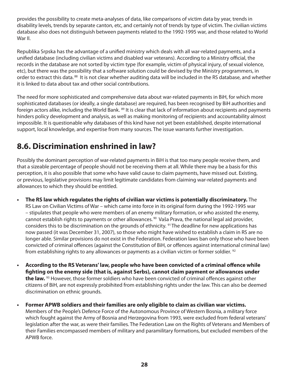provides the possibility to create meta-analyses of data, like comparisons of victim data by year, trends in disability levels, trends by separate canton, etc, and certainly not of trends by type of victim. The civilian victims database also does not distinguish between payments related to the 1992-1995 war, and those related to World War II.

Republika Srpska has the advantage of a unified ministry which deals with all war-related payments, and a unified database (including civilian victims and disabled war veterans). According to a Ministry official, the records in the database are not sorted by victim type (for example, victim of physical injury, of sexual violence, etc), but there was the possibility that a software solution could be devised by the Ministry programmers, in order to extract this data. 88 It is not clear whether auditing data will be included in the RS database, and whether it is linked to data about tax and other social contributions.

The need for more sophisticated and comprehensive data about war-related payments in BiH, for which more sophisticated databases (or ideally, a single database) are required, has been recognised by BiH authorities and foreign actors alike, including the World Bank. <sup>89</sup> It is clear that lack of information about recipients and payments hinders policy development and analysis, as well as making monitoring of recipients and accountability almost impossible. It is questionable why databases of this kind have not yet been established, despite international support, local knowledge, and expertise from many sources. The issue warrants further investigation.

### **8.6. Discrimination enshrined in law?**

Possibly the dominant perception of war-related payments in BiH is that too many people receive them, and that a sizeable percentage of people should not be receiving them at all. While there may be a basis for this perception, it is also possible that some who have valid cause to claim payments, have missed out. Existing, or previous, legislative provisions may limit legitimate candidates from claiming war-related payments and allowances to which they should be entitled.

- **t The RS law which regulates the rights of civilian war victims is potentially discriminatory.** The RS Law on Civilian Victims of War – which came into force in its original form during the 1992-1995 war – stipulates that people who were members of an enemy military formation, or who assisted the enemy, cannot establish rights to payments or other allowances.<sup>90</sup> Vaša Prava, the national legal aid provider, considers this to be discrimination on the grounds of ethnicity. <sup>91</sup> The deadline for new applications has now passed (it was December 31, 2007), so those who might have wished to establish a claim in RS are no longer able. Similar provisions do not exist in the Federation. Federation laws ban only those who have been convicted of criminal offences (against the Constitution of BiH, or offences against international criminal law) from establishing rights to any allowances or payments as a civilian victim or former soldier. <sup>92</sup>
- **According to the RS Veterans' law, people who have been convicted of a criminal offence while "ghting on the enemy side (that is, against Serbs), cannot claim payment or allowances under the law.** <sup>93</sup> However, those former soldiers who have been convicted of criminal offences against other citizens of BiH, are not expressly probihited from establishing rights under the law. This can also be deemed discrimination on ethnic grounds.
- **t Former APWB soldiers and their families are only eligible to claim as civilian war victims.**  Members of the People's Defence Force of the Autonomous Province of Western Bosnia, a military force which fought against the Army of Bosnia and Herzegovina from 1993, were excluded from federal veterans' legislation after the war, as were their families. The Federation Law on the Rights of Veterans and Members of their Families encompassed members of military and paramilitary formations, but excluded members of the APWB force.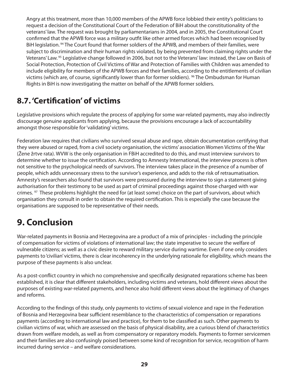Angry at this treatment, more than 10,000 members of the APWB force lobbied their entity's politicians to request a decision of the Constitutional Court of the Federation of BiH about the constitutionality of the veterans' law. The request was brought by parliamentarians in 2004, and in 2005, the Constitutional Court confirmed that the APWB force was a military outfit like other armed forces which had been recognised by BiH legislation.<sup>94</sup> The Court found that former soldiers of the APWB, and members of their families, were subject to discrimination and their human rights violated, by being prevented from claiming rights under the Veterans' Law.<sup>95</sup> Legislative change followed in 2006, but not to the Veterans' law: instead, the Law on Basis of Social Protection, Protection of Civil Victims of War and Protection of Families with Children was amended to include eligibility for members of the APWB forces and their families, according to the entitlements of civilian victims (which are, of course, significantly lower than for former soldiers). <sup>96</sup> The Ombudsman for Human Rights in BiH is now investigating the matter on behalf of the APWB former soldiers.

### **8.7. 'Certification' of victims**

Legislative provisions which regulate the process of applying for some war-related payments, may also indirectly discourage genuine applicants from applying, because the provisions encourage a lack of accountability amongst those responsible for 'validating' victims.

Federation law requires that civilians who survived sexual abuse and rape, obtain documentation certifying that they were abused or raped, from a civil society organisation, the victims' association Women Victims of the War (Žene žrtve rata). WVW is the only organisation in FBiH accredited to do this, and must interview survivors to determine whether to issue the certification. According to Amnesty International, the interview process is often not sensitive to the psychological needs of survivors. The interview takes place in the presence of a number of people, which adds unnecessary stress to the survivor's experience, and adds to the risk of retraumatisation. Amnesty's researchers also found that survivors were pressured during the interview to sign a statement giving authorisation for their testimony to be used as part of criminal proceedings against those charged with war crimes. <sup>97</sup> These problems highlight the need for (at least some) choice on the part of survivors, about which organisation they consult in order to obtain the required certification. This is especially the case because the organisations are supposed to be representative of their needs.

# **9. Conclusion**

War-related payments in Bosnia and Herzegovina are a product of a mix of principles - including the principle of compensation for victims of violations of international law; the state imperative to secure the welfare of vulnerable citizens; as well as a civic desire to reward military service during wartime. Even if one only considers payments to 'civilian' victims, there is clear incoherency in the underlying rationale for eligibility, which means the purpose of these payments is also unclear.

As a post-conflict country in which no comprehensive and specifically designated reparations scheme has been established, it is clear that different stakeholders, including victims and veterans, hold different views about the purposes of existing war-related payments, and hence also hold different views about the legitimacy of changes and reforms.

According to the findings of this study, only payments to victims of sexual violence and rape in the Federation of Bosnia and Herzegovina bear sufficient resemblance to the characteristics of compensation or reparations payments (according to international law and practice), for them to be classified as such. Other payments to civilian victims of war, which are assessed on the basis of physical disability, are a curious blend of characteristics drawn from welfare models, as well as from compensatory or reparatory models. Payments to former servicemen and their families are also confusingly poised between some kind of recognition for service, recognition of harm incurred during service – and welfare considerations.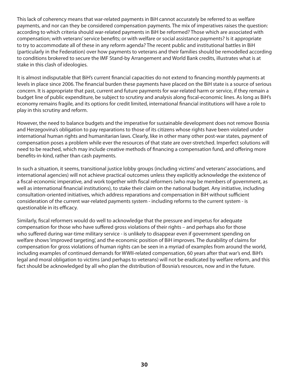This lack of coherency means that war-related payments in BiH cannot accurately be referred to as welfare payments, and nor can they be considered compensation payments. The mix of imperatives raises the question: according to which criteria should war-related payments in BiH be reformed? Those which are associated with compensation; with veterans' service benefits; or with welfare or social assistance payments? Is it appropriate to try to accommodate all of these in any reform agenda? The recent public and institutional battles in BiH (particularly in the Federation) over how payments to veterans and their families should be remodelled according to conditions brokered to secure the IMF Stand-by Arrangement and World Bank credits, illustrates what is at stake in this clash of ideologies.

It is almost indisputable that BiH's current financial capacities do not extend to financing monthly payments at levels in place since 2006. The financial burden these payments have placed on the BiH state is a source of serious concern. It is appropriate that past, current and future payments for war-related harm or service, if they remain a budget line of public expenditure, be subject to scrutiny and analysis along fiscal-economic lines. As long as BiH's economy remains fragile, and its options for credit limited, international financial institutions will have a role to play in this scrutiny and reform.

However, the need to balance budgets and the imperative for sustainable development does not remove Bosnia and Herzegovina's obligation to pay reparations to those of its citizens whose rights have been violated under international human rights and humanitarian laws. Clearly, like in other many other post-war states, payment of compensation poses a problem while ever the resources of that state are over-stretched. Imperfect solutions will need to be reached, which may include creative methods of financing a compensation fund, and offering more benefits-in-kind, rather than cash payments.

In such a situation, it seems, transitional justice lobby groups (including victims' and veterans' associations, and international agencies) will not achieve practical outcomes unless they explicitly acknowledge the existence of a fiscal-economic imperative, and work together with fiscal reformers (who may be members of government, as well as international financial institutions), to stake their claim on the national budget. Any initiative, including consultation-oriented initiatives, which address reparations and compensation in BiH without sufficient consideration of the current war-related payments system - including reforms to the current system - is questionable in its efficacy.

Similarly, fiscal reformers would do well to acknowledge that the pressure and impetus for adequate compensation for those who have suffered gross violations of their rights – and perhaps also for those who suffered during war-time military service - is unlikely to disappear even if government spending on welfare shows 'improved targeting', and the economic position of BiH improves. The durability of claims for compensation for gross violations of human rights can be seen in a myriad of examples from around the world, including examples of continued demands for WWII-related compensation, 60 years after that war's end. BiH's legal and moral obligation to victims (and perhaps to veterans) will not be eradicated by welfare reform, and this fact should be acknowledged by all who plan the distribution of Bosnia's resources, now and in the future.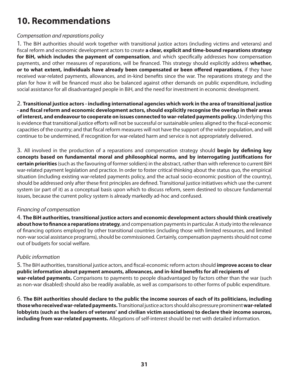# **10. Recommendations**

#### Compensation and reparations policy

1. The BiH authorities should work together with transitional justice actors (including victims and veterans) and !scal reform and economic development actors to create **a clear, explicit and time-bound reparations strategy for BiH, which includes the payment of compensation**, and which specifically addresses how compensation payments, and other measures of reparations, will be financed. This strategy should explicitly address **whether, or to what extent, individuals have already been compensated or been offered reparations**, if they have received war-related payments, allowances, and in-kind benefits since the war. The reparations strategy and the plan for how it will be financed must also be balanced against other demands on public expenditure, including social assistance for all disadvantaged people in BiH, and the need for investment in economic development.

2. **Transitional justice actors - including international agencies which work in the area of transitional justice - and "scal reform and economic development actors, should explicitly recognise the overlap in their areas of interest, and endeavour to cooperate on issues connected to war-related payments policy.** Underlying this is evidence that transitional justice efforts will not be successful or sustainable unless aligned to the fiscal-economic capacities of the country; and that fiscal reform measures will not have the support of the wider population, and will continue to be undermined, if recognition for war-related harm and service is not appropriately delivered.

3. All involved in the production of a reparations and compensation strategy should **begin by defining key** concepts based on fundamental moral and philosophical norms, and by interrogating justifications for **certain priorities** (such as the favouring of former soldiers) in the abstract, rather than with reference to current BiH war-related payment legislation and practice. In order to foster critical thinking about the status quo, the empirical situation (including existing war-related payments policy, and the actual socio-economic position of the country), should be addressed only after these first principles are defined. Transitional justice initiatives which use the current system (or part of it) as a conceptual basis upon which to discuss reform, seem destined to obscure fundamental issues, because the current policy system is already markedly ad-hoc and confused.

#### Financing of compensation

4. **The BiH authorities, transitional justice actors and economic development actors should think creatively about how to finance a reparations strategy**, and compensation payments in particular. A study into the relevance of financing options employed by other transitional countries (including those with limited resources, and limited non-war social assistance programs), should be commissioned. Certainly, compensation payments should not come out of budgets for social welfare.

#### Public information

5. The BiH authorities, transitional justice actors, and !scal-economic reform actors should **improve access to clear**  public information about payment amounts, allowances, and in-kind benefits for all recipients of **war-related payments.** Comparisons to payments to people disadvantaged by factors other than the war (such as non-war disabled) should also be readily available, as well as comparisons to other forms of public expenditure.

6. **The BiH authorities should declare to the public the income sources of each of its politicians, including those who received war-related payments.** Transitional justice actors should also pressure prominent **war-related lobbyists (such as the leaders of veterans' and civilian victim associations) to declare their income sources, including from war-related payments.** Allegations of self-interest should be met with detailed information.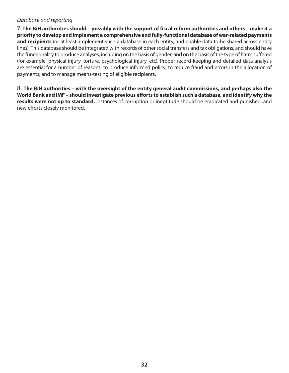#### Database and reporting

7. The BiH authorities should – possibly with the support of fiscal reform authorities and others – make it a **priority to develop and implement a comprehensive and fully-functional database of war-related payments and recipients** (or at least, implement such a database in each entity, and enable data to be shared across entity lines). This database should be integrated with records of other social transfers and tax obligations, and should have the functionality to produce analyses, including on the basis of gender, and on the basis of the type of harm suffered (for example, physical injury, torture, psychological injury, etc). Proper record-keeping and detailed data analysis are essential for a number of reasons: to produce informed policy; to reduce fraud and errors in the allocation of payments; and to manage means-testing of eligible recipients.

8. **The BiH authorities – with the oversight of the entity general audit commissions, and perhaps also the**  World Bank and IMF – should investigate previous efforts to establish such a database, and identify why the **results were not up to standard.** Instances of corruption or ineptitude should be eradicated and punished, and new efforts closely monitored.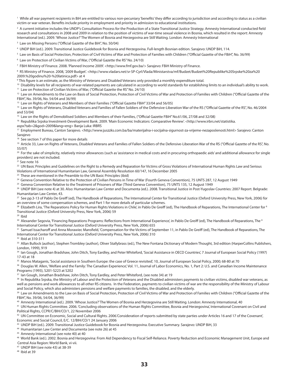<sup>1</sup> While all war payment recipients in BiH are entitled to various non-pecuniary 'benefits' they differ according to jurisdiction and according to status as a civilian victim or war veteran. Benefits include priority in employment and priority in admission to educational institutions.

 $^2$  A current initiative includes the UNDP's Consultation Process for the Production of a State Transitional Justice Strategy. Amnesty International conducted field research and consultations in 2008 and 2009 in relation to the position of victims of war-time sexual violence in Bosnia, which resulted in the report: Amnesty International (ed.). 2009. 'Whose Justice?'The Women of Bosnia and Herzegovina are Still Waiting. London: Amnesty International

<sup>3</sup> Law on Missing Persons ("Official Gazette of the BiH", No. 50/04)

4 UNDP BiH (ed.). 2009. Transitional Justice Guidebook for Bosnia and Herzegovina. Full-length Bosnian edition. Sarajevo: UNDP BiH, 114.

 $^5$  Law on Basis of Social Protection, Protection of Civil Victims of War and Protection of Families with Children ("Official Gazette of the FBiH", No. 36/99)

<sup>6</sup> Law on Protection of Civilian Victims of War, ("Official Gazette the RS" No. 24/10)

7 FBiH Ministry of Finance. 2008. 'Planned Income 2009'. <http://www.fmf.gov.ba/> Sarajevo: FBiH Ministry of Finance.

8 RS Ministry of Finance. 2008, '2009 Budget'. <http://www.vladars.net/sr-SP-Cyrl/Vlada/Ministarstva/mf/Budzet/Budzet%20Republike%20Srpske%20za%20 2009.%20godinu%20-%20latinica.pdf> at 4<br><sup>9</sup> This figure is an estimate, as the Ministry of Veterans and Disabled Veterans only provided a monthly expenditure total.

<sup>10</sup> Disability levels for all recipients of war-related payments are calculated in according to world standards for establishing limits to an individual's ability to work. <sup>11</sup> Law on Protection of Civilian Victims of War, ("Official Gazette the RS" No. 24/10)

<sup>12</sup> Law on Amendments to the Law on Basis of Social Protection, Protection of Civil Victims of War and Protection of Families with Children ("Official Gazette of the

FBiH", No. 39/06, No. 54/04 and 36/99)

<sup>13</sup> Law on Rights of Veterans and Members of their Families ("Official Gazette FBiH" 33/04 and 56/05)<br><sup>14</sup> Law on Rights of Veterans, Disabled Veterans and Families of Fallen Soldiers of the Defensive-Liberation War of th and 53/04)

<sup>15</sup> Law on the Rights of Demobilised Soldiers and Members of their Families, ("Official Gazette FBiH" No.61/06, 27/08 and 32/08)

<sup>16</sup> Republika Srpska Investment-Development Bank. 2009. 'Main Economic Indicators: Comparative Review'. <http://www.irbrs.net/statistika.

aspx?tab=2&god=2009&lang=eng> Banja Luka: IRBRS

17 Employment Bureau, Canton Sarajevo. <http://www.juszzks.com.ba/ba/materijalna-i-socijalna-sigurnost-za-vrijeme-nezaposlenosti.html> Sarajevo: Canton Sarajevo

<sup>18</sup> See section 7 of this paper for more details

<sup>19</sup> Article 33, Law on Rights of Veterans, Disabled Veterans and Families of Fallen Soldiers of the Defensive-Liberation War of the RS ("Official Gazette of the RS", No. 55/07)

<sup>20</sup> For the sake of simplicity, relatively minor allowances (such as 'assistance in medical costs and in procuring orthopaedic aids' and additional allowance for single providers) are not included.

 $21$  See note 16

<sup>22</sup> UN Basic Principles and Guidelines on the Right to a Remedy and Reparation for Victims of Gross Violations of International Human Rights Law and Serious Violations of International Humanitarian Law, General Assembly Resolution 60/147, 16 December 2005

<sup>23</sup> These are mentioned in the Preamble to the UN Basic Principles (ibid)

<sup>24</sup> Geneva Convention Relative to the Protection of Civilian Persons in Time of War (Fourth Geneva Convention), 75 UNTS 287, 12 August 1949

<sup>25</sup> Geneva Convention Relative to the Treatment of Prisoners of War (Third Geneva Convention), 75 UNTS 135, 12 August 1949

26 UNDP BiH (see note 4) at 30. Also: Humanitarian Law Center and Documenta (ed.). 2008. Transitional Justice in Post-Yugoslav Countries: 2007 Report. Belgrade: Humanitarian Law Center, 43.

<sup>27</sup> See pp.3-13 of Pablo De Greiff (ed), The Handbook of Reparations, The International Center for Transitional Justice (Oxford University Press, New York, 2006) for

an overview of some compensation schemes, and Part 1 for more details of particular schemes.<br><sup>28</sup> Elizabeth Lira, 'The Reparations Policy for Human Rights Violations in Chile', in Pablo De Greiff (ed), The Handbook of Repa Transitional Justice (Oxford University Press, New York, 2006) 59

29 Ibid

<sup>30</sup> Alexander Segovia, 'Financing Reparations Programs: Reflections from International Experience', in Pablo De Greiff (ed), The Handbook of Reparations, The <sup>8</sup> International Center for Transitional Justice (Oxford University Press, New York, 2006) 655

<sup>31</sup> Samuel Issacharoff and Anna Morawiec Mansfield, 'Compensation for the Victims of September 11, in Pablo De Greiff (ed), The Handbook of Reparations, The International Center for Transitional Justice (Oxford University Press, New York, 2006) 310

32 Ibid at 310-311

33 Allan Bullock (author), Stephen Trombley (author), Oliver Stallybrass (ed.), The New Fontana Dictionary of Modern Thought, 3rd edition (HarperCollins Publishers, London, 1999), 919

34 Ian Gough, Jonathan Bradshaw, John Ditch, Tony Eardley, and Peter Whiteford, 'Social Assistance in OECD Countries', 7 Journal of European Social Policy (1997) 17-43 at 18

<sup>35</sup> Manos Mataganis, 'Social assistance in Southern Europe: the case of Greece revisited', 10, Journal of European Social Policy, 2000; 68-80 at 70

<sup>36</sup> Douglas W. Allen, 'Welfare and the Family: The Canadian Experience', Vol. 11, Journal of Labor Economics, No. 1, Part 2: U.S. and Canadian Income Maintenance Programs (1993), S201-S223 at S202

<sup>37</sup> Ian Gough, Jonathan Bradshaw, John Ditch, Tony Eardley, and Peter Whiteford, (see note 34) at 19

<sup>38</sup> In Republika Srpska, the Ministry of Labour and the Protection of Veterans and the Disabled administers payments to civilian victims, disabled war veterans, as well as pensions and work allowances to all other RS citizens. In the Federation, payments to civilian victims of war are the responsibility of the Ministry of Labour

and Social Policy, which also administers pensions and welfare payments to families, the disabled, and the elderly.<br><sup>39</sup> Law on Amendments to the Law on Basis of Social Protection, Protection of Civil Victims of War and Pr FBiH", No. 39/06, 54/04, 36/99)

40 Amnesty International (ed.). 2009. 'Whose Justice?'The Women of Bosnia and Herzegovina are Still Waiting. London: Amnesty International, 40

41 UN Human Rights Committee. 2006. 'Concluding observations of the Human Rights Committee, Bosnia and Herzegovina', International Covenant on Civil and Political Rights, CCPR/C/BIH/CO/1, 22 November 2006

 $42$  UN Committee on Economic, Social and Cultural Rights. 2006.'Consideration of reports submitted by state parties under Articles 16 and 17 of the Covenant', Economic and Social Council, E/C. 12/BIH/CO/1 24 January 2006

43 UNDP BiH (ed.). 2009. Transitional Justice Guidebook for Bosnia and Herzegovina. Executive Summary. Sarajevo: UNDP BiH, 33

44 Humanitarian Law Center and Documenta (see note 26) at 45

45 Amnesty International (see note 40) at 40

46 World Bank (ed.). 2002. Bosnia and Herzegovina: From Aid Dependency to Fiscal Self-Reliance. Poverty Reduction and Economic Management Unit, Europe and Central Asia Region: World Bank, vi-vii.<br><sup>47</sup> UNDP BiH (see note 43) at 38-39

48 Ibid at 39